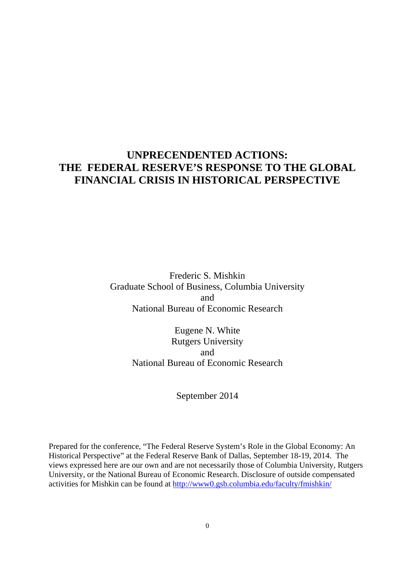# **UNPRECENDENTED ACTIONS: THE FEDERAL RESERVE'S RESPONSE TO THE GLOBAL FINANCIAL CRISIS IN HISTORICAL PERSPECTIVE**

Frederic S. Mishkin Graduate School of Business, Columbia University and National Bureau of Economic Research

> Eugene N. White Rutgers University and National Bureau of Economic Research

> > September 2014

Prepared for the conference, "The Federal Reserve System's Role in the Global Economy: An Historical Perspective" at the Federal Reserve Bank of Dallas, September 18-19, 2014. The views expressed here are our own and are not necessarily those of Columbia University, Rutgers University, or the National Bureau of Economic Research. Disclosure of outside compensated activities for Mishkin can be found at http://www0.gsb.columbia.edu/faculty/fmishkin/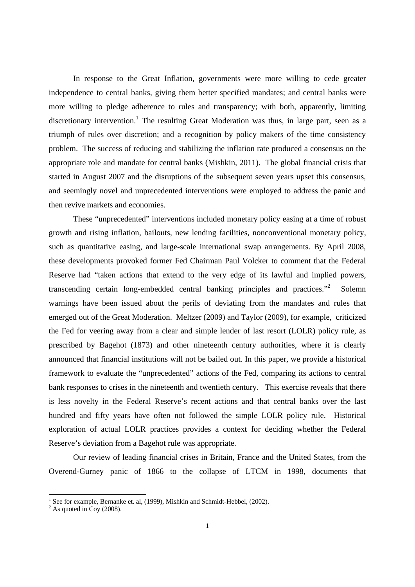In response to the Great Inflation, governments were more willing to cede greater independence to central banks, giving them better specified mandates; and central banks were more willing to pledge adherence to rules and transparency; with both, apparently, limiting discretionary intervention.<sup>1</sup> The resulting Great Moderation was thus, in large part, seen as a triumph of rules over discretion; and a recognition by policy makers of the time consistency problem. The success of reducing and stabilizing the inflation rate produced a consensus on the appropriate role and mandate for central banks (Mishkin, 2011). The global financial crisis that started in August 2007 and the disruptions of the subsequent seven years upset this consensus, and seemingly novel and unprecedented interventions were employed to address the panic and then revive markets and economies.

These "unprecedented" interventions included monetary policy easing at a time of robust growth and rising inflation, bailouts, new lending facilities, nonconventional monetary policy, such as quantitative easing, and large-scale international swap arrangements. By April 2008, these developments provoked former Fed Chairman Paul Volcker to comment that the Federal Reserve had "taken actions that extend to the very edge of its lawful and implied powers, transcending certain long-embedded central banking principles and practices."2 Solemn warnings have been issued about the perils of deviating from the mandates and rules that emerged out of the Great Moderation. Meltzer (2009) and Taylor (2009), for example, criticized the Fed for veering away from a clear and simple lender of last resort (LOLR) policy rule, as prescribed by Bagehot (1873) and other nineteenth century authorities, where it is clearly announced that financial institutions will not be bailed out. In this paper, we provide a historical framework to evaluate the "unprecedented" actions of the Fed, comparing its actions to central bank responses to crises in the nineteenth and twentieth century. This exercise reveals that there is less novelty in the Federal Reserve's recent actions and that central banks over the last hundred and fifty years have often not followed the simple LOLR policy rule. Historical exploration of actual LOLR practices provides a context for deciding whether the Federal Reserve's deviation from a Bagehot rule was appropriate.

 Our review of leading financial crises in Britain, France and the United States, from the Overend-Gurney panic of 1866 to the collapse of LTCM in 1998, documents that

<sup>&</sup>lt;sup>1</sup> See for example, Bernanke et. al, (1999), Mishkin and Schmidt-Hebbel, (2002).<br><sup>2</sup> As quoted in Coy (2008).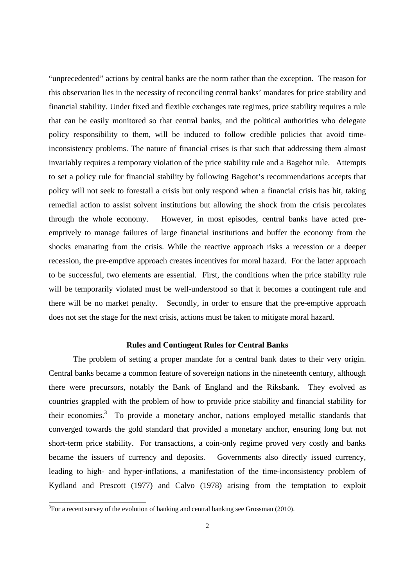"unprecedented" actions by central banks are the norm rather than the exception. The reason for this observation lies in the necessity of reconciling central banks' mandates for price stability and financial stability. Under fixed and flexible exchanges rate regimes, price stability requires a rule that can be easily monitored so that central banks, and the political authorities who delegate policy responsibility to them, will be induced to follow credible policies that avoid timeinconsistency problems. The nature of financial crises is that such that addressing them almost invariably requires a temporary violation of the price stability rule and a Bagehot rule. Attempts to set a policy rule for financial stability by following Bagehot's recommendations accepts that policy will not seek to forestall a crisis but only respond when a financial crisis has hit, taking remedial action to assist solvent institutions but allowing the shock from the crisis percolates through the whole economy. However, in most episodes, central banks have acted preemptively to manage failures of large financial institutions and buffer the economy from the shocks emanating from the crisis. While the reactive approach risks a recession or a deeper recession, the pre-emptive approach creates incentives for moral hazard. For the latter approach to be successful, two elements are essential. First, the conditions when the price stability rule will be temporarily violated must be well-understood so that it becomes a contingent rule and there will be no market penalty. Secondly, in order to ensure that the pre-emptive approach does not set the stage for the next crisis, actions must be taken to mitigate moral hazard.

#### **Rules and Contingent Rules for Central Banks**

 The problem of setting a proper mandate for a central bank dates to their very origin. Central banks became a common feature of sovereign nations in the nineteenth century, although there were precursors, notably the Bank of England and the Riksbank. They evolved as countries grappled with the problem of how to provide price stability and financial stability for their economies.<sup>3</sup> To provide a monetary anchor, nations employed metallic standards that converged towards the gold standard that provided a monetary anchor, ensuring long but not short-term price stability. For transactions, a coin-only regime proved very costly and banks became the issuers of currency and deposits. Governments also directly issued currency, leading to high- and hyper-inflations, a manifestation of the time-inconsistency problem of Kydland and Prescott (1977) and Calvo (1978) arising from the temptation to exploit

 ${}^{3}$ For a recent survey of the evolution of banking and central banking see Grossman (2010).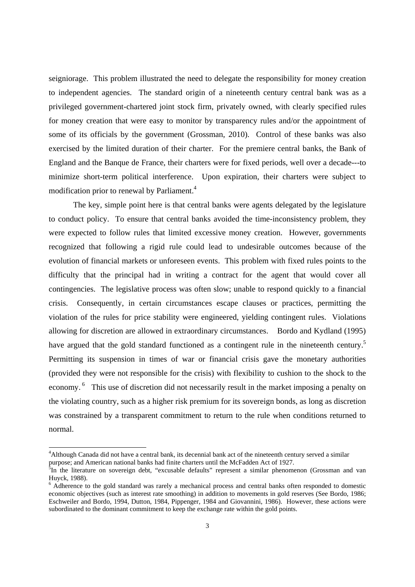seigniorage. This problem illustrated the need to delegate the responsibility for money creation to independent agencies. The standard origin of a nineteenth century central bank was as a privileged government-chartered joint stock firm, privately owned, with clearly specified rules for money creation that were easy to monitor by transparency rules and/or the appointment of some of its officials by the government (Grossman, 2010). Control of these banks was also exercised by the limited duration of their charter. For the premiere central banks, the Bank of England and the Banque de France, their charters were for fixed periods, well over a decade---to minimize short-term political interference. Upon expiration, their charters were subject to modification prior to renewal by Parliament.<sup>4</sup>

The key, simple point here is that central banks were agents delegated by the legislature to conduct policy. To ensure that central banks avoided the time-inconsistency problem, they were expected to follow rules that limited excessive money creation. However, governments recognized that following a rigid rule could lead to undesirable outcomes because of the evolution of financial markets or unforeseen events. This problem with fixed rules points to the difficulty that the principal had in writing a contract for the agent that would cover all contingencies. The legislative process was often slow; unable to respond quickly to a financial crisis. Consequently, in certain circumstances escape clauses or practices, permitting the violation of the rules for price stability were engineered, yielding contingent rules. Violations allowing for discretion are allowed in extraordinary circumstances. Bordo and Kydland (1995) have argued that the gold standard functioned as a contingent rule in the nineteenth century.<sup>5</sup> Permitting its suspension in times of war or financial crisis gave the monetary authorities (provided they were not responsible for the crisis) with flexibility to cushion to the shock to the economy. 6 This use of discretion did not necessarily result in the market imposing a penalty on the violating country, such as a higher risk premium for its sovereign bonds, as long as discretion was constrained by a transparent commitment to return to the rule when conditions returned to normal.

<sup>&</sup>lt;sup>4</sup>Although Canada did not have a central bank, its decennial bank act of the nineteenth century served a similar purpose; and American national banks had finite charters until the McFadden Act of 1927.

<sup>&</sup>lt;sup>5</sup>In the literature on sovereign debt, "excusable defaults" represent a similar phenomenon (Grossman and van Huyck, 1988).

<sup>&</sup>lt;sup>6</sup> Adherence to the gold standard was rarely a mechanical process and central banks often responded to domestic economic objectives (such as interest rate smoothing) in addition to movements in gold reserves (See Bordo, 1986; Eschweiler and Bordo, 1994, Dutton, 1984, Pippenger, 1984 and Giovannini, 1986). However, these actions were subordinated to the dominant commitment to keep the exchange rate within the gold points.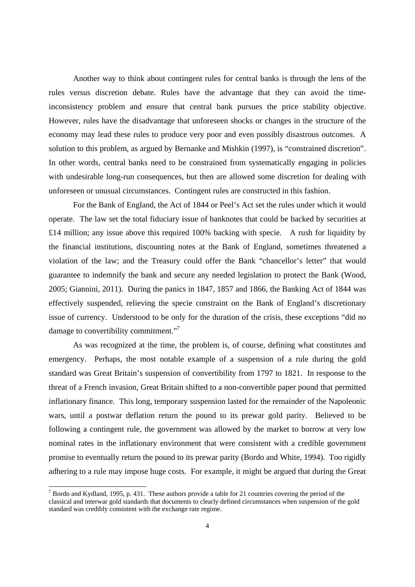Another way to think about contingent rules for central banks is through the lens of the rules versus discretion debate. Rules have the advantage that they can avoid the timeinconsistency problem and ensure that central bank pursues the price stability objective. However, rules have the disadvantage that unforeseen shocks or changes in the structure of the economy may lead these rules to produce very poor and even possibly disastrous outcomes. A solution to this problem, as argued by Bernanke and Mishkin (1997), is "constrained discretion". In other words, central banks need to be constrained from systematically engaging in policies with undesirable long-run consequences, but then are allowed some discretion for dealing with unforeseen or unusual circumstances. Contingent rules are constructed in this fashion.

For the Bank of England, the Act of 1844 or Peel's Act set the rules under which it would operate. The law set the total fiduciary issue of banknotes that could be backed by securities at £14 million; any issue above this required 100% backing with specie. A rush for liquidity by the financial institutions, discounting notes at the Bank of England, sometimes threatened a violation of the law; and the Treasury could offer the Bank "chancellor's letter" that would guarantee to indemnify the bank and secure any needed legislation to protect the Bank (Wood, 2005; Giannini, 2011). During the panics in 1847, 1857 and 1866, the Banking Act of 1844 was effectively suspended, relieving the specie constraint on the Bank of England's discretionary issue of currency. Understood to be only for the duration of the crisis, these exceptions "did no damage to convertibility commitment."<sup>7</sup>

As was recognized at the time, the problem is, of course, defining what constitutes and emergency. Perhaps, the most notable example of a suspension of a rule during the gold standard was Great Britain's suspension of convertibility from 1797 to 1821. In response to the threat of a French invasion, Great Britain shifted to a non-convertible paper pound that permitted inflationary finance. This long, temporary suspension lasted for the remainder of the Napoleonic wars, until a postwar deflation return the pound to its prewar gold parity. Believed to be following a contingent rule, the government was allowed by the market to borrow at very low nominal rates in the inflationary environment that were consistent with a credible government promise to eventually return the pound to its prewar parity (Bordo and White, 1994). Too rigidly adhering to a rule may impose huge costs. For example, it might be argued that during the Great

 $<sup>7</sup>$  Bordo and Kydland, 1995, p. 431. These authors provide a table for 21 countries covering the period of the</sup> classical and interwar gold standards that documents to clearly defined circumstances when suspension of the gold standard was credibly consistent with the exchange rate regime.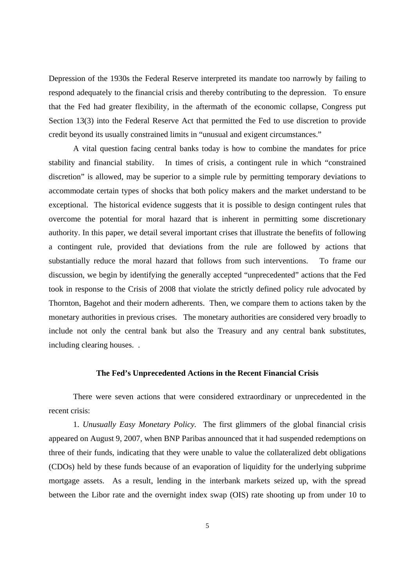Depression of the 1930s the Federal Reserve interpreted its mandate too narrowly by failing to respond adequately to the financial crisis and thereby contributing to the depression. To ensure that the Fed had greater flexibility, in the aftermath of the economic collapse, Congress put Section 13(3) into the Federal Reserve Act that permitted the Fed to use discretion to provide credit beyond its usually constrained limits in "unusual and exigent circumstances."

A vital question facing central banks today is how to combine the mandates for price stability and financial stability. In times of crisis, a contingent rule in which "constrained discretion" is allowed, may be superior to a simple rule by permitting temporary deviations to accommodate certain types of shocks that both policy makers and the market understand to be exceptional. The historical evidence suggests that it is possible to design contingent rules that overcome the potential for moral hazard that is inherent in permitting some discretionary authority. In this paper, we detail several important crises that illustrate the benefits of following a contingent rule, provided that deviations from the rule are followed by actions that substantially reduce the moral hazard that follows from such interventions. To frame our discussion, we begin by identifying the generally accepted "unprecedented" actions that the Fed took in response to the Crisis of 2008 that violate the strictly defined policy rule advocated by Thornton, Bagehot and their modern adherents. Then, we compare them to actions taken by the monetary authorities in previous crises. The monetary authorities are considered very broadly to include not only the central bank but also the Treasury and any central bank substitutes, including clearing houses. .

#### **The Fed's Unprecedented Actions in the Recent Financial Crisis**

There were seven actions that were considered extraordinary or unprecedented in the recent crisis:

1. *Unusually Easy Monetary Policy.* The first glimmers of the global financial crisis appeared on August 9, 2007, when BNP Paribas announced that it had suspended redemptions on three of their funds, indicating that they were unable to value the collateralized debt obligations (CDOs) held by these funds because of an evaporation of liquidity for the underlying subprime mortgage assets. As a result, lending in the interbank markets seized up, with the spread between the Libor rate and the overnight index swap (OIS) rate shooting up from under 10 to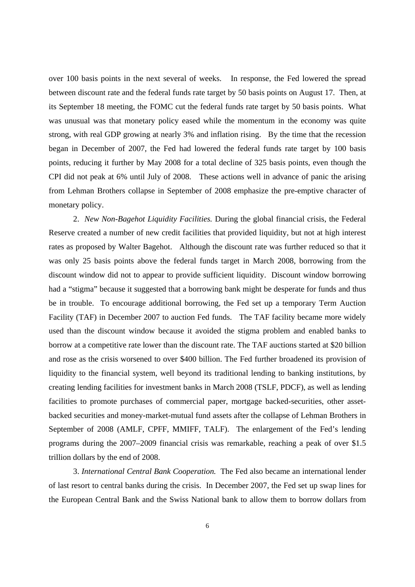over 100 basis points in the next several of weeks. In response, the Fed lowered the spread between discount rate and the federal funds rate target by 50 basis points on August 17. Then, at its September 18 meeting, the FOMC cut the federal funds rate target by 50 basis points. What was unusual was that monetary policy eased while the momentum in the economy was quite strong, with real GDP growing at nearly 3% and inflation rising. By the time that the recession began in December of 2007, the Fed had lowered the federal funds rate target by 100 basis points, reducing it further by May 2008 for a total decline of 325 basis points, even though the CPI did not peak at 6% until July of 2008. These actions well in advance of panic the arising from Lehman Brothers collapse in September of 2008 emphasize the pre-emptive character of monetary policy.

 2. *New Non-Bagehot Liquidity Facilities.* During the global financial crisis, the Federal Reserve created a number of new credit facilities that provided liquidity, but not at high interest rates as proposed by Walter Bagehot. Although the discount rate was further reduced so that it was only 25 basis points above the federal funds target in March 2008, borrowing from the discount window did not to appear to provide sufficient liquidity. Discount window borrowing had a "stigma" because it suggested that a borrowing bank might be desperate for funds and thus be in trouble. To encourage additional borrowing, the Fed set up a temporary Term Auction Facility (TAF) in December 2007 to auction Fed funds. The TAF facility became more widely used than the discount window because it avoided the stigma problem and enabled banks to borrow at a competitive rate lower than the discount rate. The TAF auctions started at \$20 billion and rose as the crisis worsened to over \$400 billion. The Fed further broadened its provision of liquidity to the financial system, well beyond its traditional lending to banking institutions, by creating lending facilities for investment banks in March 2008 (TSLF, PDCF), as well as lending facilities to promote purchases of commercial paper, mortgage backed-securities, other assetbacked securities and money-market-mutual fund assets after the collapse of Lehman Brothers in September of 2008 (AMLF, CPFF, MMIFF, TALF). The enlargement of the Fed's lending programs during the 2007–2009 financial crisis was remarkable, reaching a peak of over \$1.5 trillion dollars by the end of 2008.

3. *International Central Bank Cooperation.* The Fed also became an international lender of last resort to central banks during the crisis. In December 2007, the Fed set up swap lines for the European Central Bank and the Swiss National bank to allow them to borrow dollars from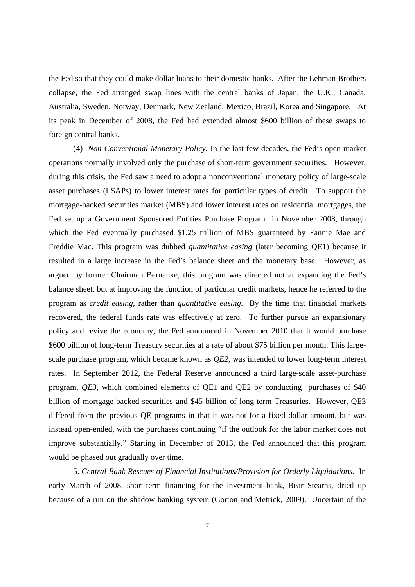the Fed so that they could make dollar loans to their domestic banks. After the Lehman Brothers collapse, the Fed arranged swap lines with the central banks of Japan, the U.K., Canada, Australia, Sweden, Norway, Denmark, New Zealand, Mexico, Brazil, Korea and Singapore. At its peak in December of 2008, the Fed had extended almost \$600 billion of these swaps to foreign central banks.

(4) *Non-Conventional Monetary Policy.* In the last few decades, the Fed's open market operations normally involved only the purchase of short-term government securities. However, during this crisis, the Fed saw a need to adopt a nonconventional monetary policy of large-scale asset purchases (LSAPs) to lower interest rates for particular types of credit. To support the mortgage-backed securities market (MBS) and lower interest rates on residential mortgages, the Fed set up a Government Sponsored Entities Purchase Program in November 2008, through which the Fed eventually purchased \$1.25 trillion of MBS guaranteed by Fannie Mae and Freddie Mac. This program was dubbed *quantitative easing* (later becoming QE1) because it resulted in a large increase in the Fed's balance sheet and the monetary base. However, as argued by former Chairman Bernanke, this program was directed not at expanding the Fed's balance sheet, but at improving the function of particular credit markets, hence he referred to the program as *credit easing*, rather than *quantitative easing*. By the time that financial markets recovered, the federal funds rate was effectively at zero. To further pursue an expansionary policy and revive the economy, the Fed announced in November 2010 that it would purchase \$600 billion of long-term Treasury securities at a rate of about \$75 billion per month. This largescale purchase program, which became known as *QE2,* was intended to lower long-term interest rates. In September 2012, the Federal Reserve announced a third large-scale asset-purchase program, *QE3*, which combined elements of QE1 and QE2 by conducting purchases of \$40 billion of mortgage-backed securities and \$45 billion of long-term Treasuries. However, QE3 differed from the previous QE programs in that it was not for a fixed dollar amount, but was instead open-ended, with the purchases continuing "if the outlook for the labor market does not improve substantially." Starting in December of 2013, the Fed announced that this program would be phased out gradually over time.

5. *Central Bank Rescues of Financial Institutions/Provision for Orderly Liquidations.* In early March of 2008, short-term financing for the investment bank, Bear Stearns, dried up because of a run on the shadow banking system (Gorton and Metrick, 2009). Uncertain of the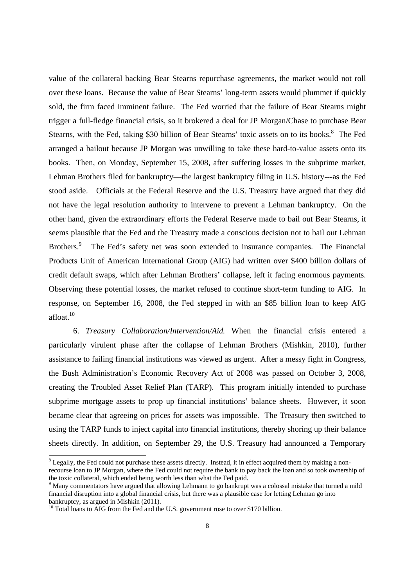value of the collateral backing Bear Stearns repurchase agreements, the market would not roll over these loans. Because the value of Bear Stearns' long-term assets would plummet if quickly sold, the firm faced imminent failure. The Fed worried that the failure of Bear Stearns might trigger a full-fledge financial crisis, so it brokered a deal for JP Morgan/Chase to purchase Bear Stearns, with the Fed, taking \$30 billion of Bear Stearns' toxic assets on to its books.<sup>8</sup> The Fed arranged a bailout because JP Morgan was unwilling to take these hard-to-value assets onto its books. Then, on Monday, September 15, 2008, after suffering losses in the subprime market, Lehman Brothers filed for bankruptcy—the largest bankruptcy filing in U.S. history---as the Fed stood aside. Officials at the Federal Reserve and the U.S. Treasury have argued that they did not have the legal resolution authority to intervene to prevent a Lehman bankruptcy. On the other hand, given the extraordinary efforts the Federal Reserve made to bail out Bear Stearns, it seems plausible that the Fed and the Treasury made a conscious decision not to bail out Lehman Brothers.<sup>9</sup> The Fed's safety net was soon extended to insurance companies. The Financial Products Unit of American International Group (AIG) had written over \$400 billion dollars of credit default swaps, which after Lehman Brothers' collapse, left it facing enormous payments. Observing these potential losses, the market refused to continue short-term funding to AIG. In response, on September 16, 2008, the Fed stepped in with an \$85 billion loan to keep AIG afloat.10

6. *Treasury Collaboration/Intervention/Aid.* When the financial crisis entered a particularly virulent phase after the collapse of Lehman Brothers (Mishkin, 2010), further assistance to failing financial institutions was viewed as urgent. After a messy fight in Congress, the Bush Administration's Economic Recovery Act of 2008 was passed on October 3, 2008, creating the Troubled Asset Relief Plan (TARP). This program initially intended to purchase subprime mortgage assets to prop up financial institutions' balance sheets. However, it soon became clear that agreeing on prices for assets was impossible. The Treasury then switched to using the TARP funds to inject capital into financial institutions, thereby shoring up their balance sheets directly. In addition, on September 29, the U.S. Treasury had announced a Temporary

 $8$  Legally, the Fed could not purchase these assets directly. Instead, it in effect acquired them by making a nonrecourse loan to JP Morgan, where the Fed could not require the bank to pay back the loan and so took ownership of the toxic collateral, which ended being worth less than what the Fed paid.

<sup>&</sup>lt;sup>9</sup> Many commentators have argued that allowing Lehmann to go bankrupt was a colossal mistake that turned a mild financial disruption into a global financial crisis, but there was a plausible case for letting Lehman go into bankruptcy, as argued in Mishkin (2011).

<sup>&</sup>lt;sup>10</sup> Total loans to AIG from the Fed and the U.S. government rose to over \$170 billion.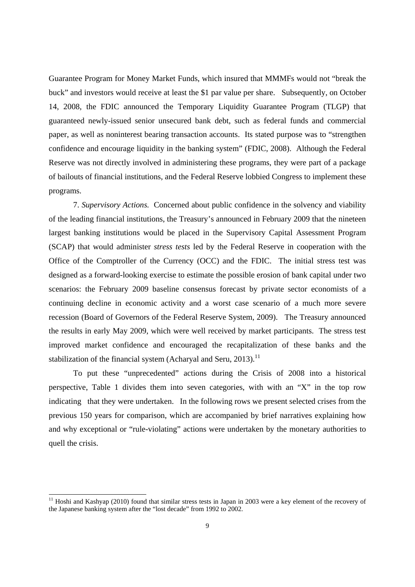Guarantee Program for Money Market Funds, which insured that MMMFs would not "break the buck" and investors would receive at least the \$1 par value per share. Subsequently, on October 14, 2008, the FDIC announced the Temporary Liquidity Guarantee Program (TLGP) that guaranteed newly-issued senior unsecured bank debt, such as federal funds and commercial paper, as well as noninterest bearing transaction accounts. Its stated purpose was to "strengthen confidence and encourage liquidity in the banking system" (FDIC, 2008). Although the Federal Reserve was not directly involved in administering these programs, they were part of a package of bailouts of financial institutions, and the Federal Reserve lobbied Congress to implement these programs.

7. *Supervisory Actions.* Concerned about public confidence in the solvency and viability of the leading financial institutions, the Treasury's announced in February 2009 that the nineteen largest banking institutions would be placed in the Supervisory Capital Assessment Program (SCAP) that would administer *stress tests* led by the Federal Reserve in cooperation with the Office of the Comptroller of the Currency (OCC) and the FDIC. The initial stress test was designed as a forward-looking exercise to estimate the possible erosion of bank capital under two scenarios: the February 2009 baseline consensus forecast by private sector economists of a continuing decline in economic activity and a worst case scenario of a much more severe recession (Board of Governors of the Federal Reserve System, 2009). The Treasury announced the results in early May 2009, which were well received by market participants. The stress test improved market confidence and encouraged the recapitalization of these banks and the stabilization of the financial system (Acharyal and Seru, 2013).<sup>11</sup>

 To put these "unprecedented" actions during the Crisis of 2008 into a historical perspective, Table 1 divides them into seven categories, with with an "X" in the top row indicating that they were undertaken. In the following rows we present selected crises from the previous 150 years for comparison, which are accompanied by brief narratives explaining how and why exceptional or "rule-violating" actions were undertaken by the monetary authorities to quell the crisis.

<sup>&</sup>lt;sup>11</sup> Hoshi and Kashyap (2010) found that similar stress tests in Japan in 2003 were a key element of the recovery of the Japanese banking system after the "lost decade" from 1992 to 2002.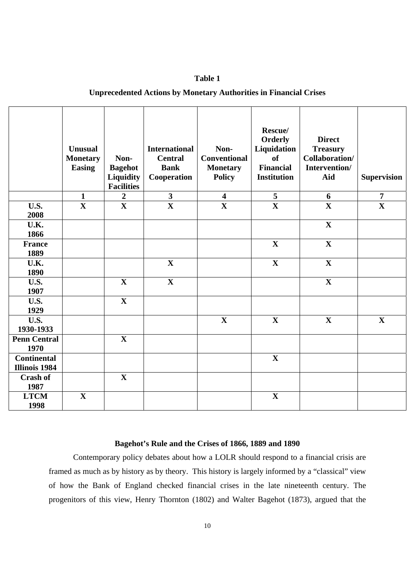|  | m<br>ı<br>I |  |
|--|-------------|--|
|--|-------------|--|

## **Unprecedented Actions by Monetary Authorities in Financial Crises**

|                                            | <b>Unusual</b><br><b>Monetary</b><br><b>Easing</b> | Non-<br><b>Bagehot</b><br>Liquidity<br><b>Facilities</b> | <b>International</b><br><b>Central</b><br><b>Bank</b><br>Cooperation | Non-<br><b>Conventional</b><br><b>Monetary</b><br><b>Policy</b> | Rescue/<br><b>Orderly</b><br>Liquidation<br><sub>of</sub><br><b>Financial</b><br><b>Institution</b> | <b>Direct</b><br><b>Treasury</b><br>Collaboration/<br>Intervention/<br>Aid | <b>Supervision</b>      |
|--------------------------------------------|----------------------------------------------------|----------------------------------------------------------|----------------------------------------------------------------------|-----------------------------------------------------------------|-----------------------------------------------------------------------------------------------------|----------------------------------------------------------------------------|-------------------------|
|                                            | $\mathbf{1}$                                       | $\boldsymbol{2}$                                         | $\frac{3}{\mathbf{X}}$                                               | $\overline{\mathbf{4}}$                                         | $\frac{5}{\mathbf{X}}$                                                                              | 6                                                                          | $\overline{7}$          |
| U.S.<br>2008                               | $\overline{\mathbf{X}}$                            | $\overline{\mathbf{X}}$                                  |                                                                      | $\overline{\mathbf{X}}$                                         |                                                                                                     | $\overline{\mathbf{X}}$                                                    | $\overline{\mathbf{X}}$ |
| U.K.<br>1866                               |                                                    |                                                          |                                                                      |                                                                 |                                                                                                     | $\mathbf X$                                                                |                         |
| <b>France</b><br>1889                      |                                                    |                                                          |                                                                      |                                                                 | $\mathbf X$                                                                                         | $\mathbf X$                                                                |                         |
| U.K.<br>1890                               |                                                    |                                                          | $\mathbf X$                                                          |                                                                 | $\mathbf{X}$                                                                                        | $\mathbf{X}$                                                               |                         |
| U.S.<br>1907                               |                                                    | $\mathbf{X}$                                             | $\mathbf X$                                                          |                                                                 |                                                                                                     | $\mathbf X$                                                                |                         |
| <b>U.S.</b><br>1929                        |                                                    | $\overline{\mathbf{X}}$                                  |                                                                      |                                                                 |                                                                                                     |                                                                            |                         |
| U.S.<br>1930-1933                          |                                                    |                                                          |                                                                      | $\mathbf X$                                                     | $\mathbf X$                                                                                         | $\mathbf X$                                                                | $\mathbf X$             |
| <b>Penn Central</b><br>1970                |                                                    | $\mathbf{X}$                                             |                                                                      |                                                                 |                                                                                                     |                                                                            |                         |
| <b>Continental</b><br><b>Illinois 1984</b> |                                                    |                                                          |                                                                      |                                                                 | $\overline{\mathbf{X}}$                                                                             |                                                                            |                         |
| <b>Crash of</b><br>1987                    |                                                    | $\mathbf X$                                              |                                                                      |                                                                 |                                                                                                     |                                                                            |                         |
| <b>LTCM</b><br>1998                        | $\mathbf X$                                        |                                                          |                                                                      |                                                                 | $\mathbf X$                                                                                         |                                                                            |                         |

## **Bagehot's Rule and the Crises of 1866, 1889 and 1890**

Contemporary policy debates about how a LOLR should respond to a financial crisis are framed as much as by history as by theory. This history is largely informed by a "classical" view of how the Bank of England checked financial crises in the late nineteenth century. The progenitors of this view, Henry Thornton (1802) and Walter Bagehot (1873), argued that the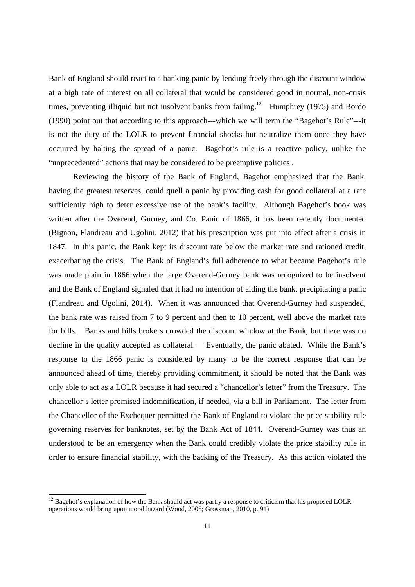Bank of England should react to a banking panic by lending freely through the discount window at a high rate of interest on all collateral that would be considered good in normal, non-crisis times, preventing illiquid but not insolvent banks from failing.<sup>12</sup> Humphrey (1975) and Bordo (1990) point out that according to this approach---which we will term the "Bagehot's Rule"---it is not the duty of the LOLR to prevent financial shocks but neutralize them once they have occurred by halting the spread of a panic. Bagehot's rule is a reactive policy, unlike the "unprecedented" actions that may be considered to be preemptive policies .

Reviewing the history of the Bank of England, Bagehot emphasized that the Bank, having the greatest reserves, could quell a panic by providing cash for good collateral at a rate sufficiently high to deter excessive use of the bank's facility. Although Bagehot's book was written after the Overend, Gurney, and Co. Panic of 1866, it has been recently documented (Bignon, Flandreau and Ugolini, 2012) that his prescription was put into effect after a crisis in 1847. In this panic, the Bank kept its discount rate below the market rate and rationed credit, exacerbating the crisis. The Bank of England's full adherence to what became Bagehot's rule was made plain in 1866 when the large Overend-Gurney bank was recognized to be insolvent and the Bank of England signaled that it had no intention of aiding the bank, precipitating a panic (Flandreau and Ugolini, 2014). When it was announced that Overend-Gurney had suspended, the bank rate was raised from 7 to 9 percent and then to 10 percent, well above the market rate for bills. Banks and bills brokers crowded the discount window at the Bank, but there was no decline in the quality accepted as collateral. Eventually, the panic abated. While the Bank's response to the 1866 panic is considered by many to be the correct response that can be announced ahead of time, thereby providing commitment, it should be noted that the Bank was only able to act as a LOLR because it had secured a "chancellor's letter" from the Treasury. The chancellor's letter promised indemnification, if needed, via a bill in Parliament. The letter from the Chancellor of the Exchequer permitted the Bank of England to violate the price stability rule governing reserves for banknotes, set by the Bank Act of 1844. Overend-Gurney was thus an understood to be an emergency when the Bank could credibly violate the price stability rule in order to ensure financial stability, with the backing of the Treasury. As this action violated the

<sup>&</sup>lt;sup>12</sup> Bagehot's explanation of how the Bank should act was partly a response to criticism that his proposed LOLR operations would bring upon moral hazard (Wood, 2005; Grossman, 2010, p. 91)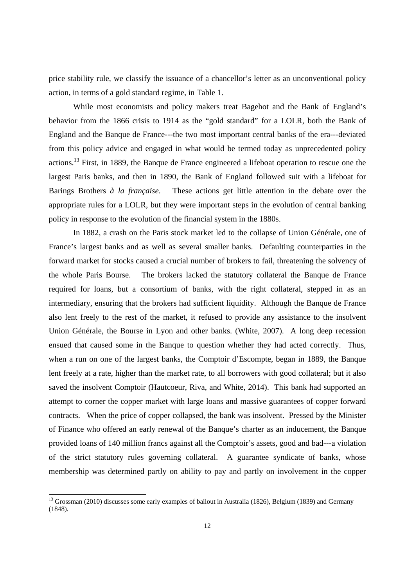price stability rule, we classify the issuance of a chancellor's letter as an unconventional policy action, in terms of a gold standard regime, in Table 1.

While most economists and policy makers treat Bagehot and the Bank of England's behavior from the 1866 crisis to 1914 as the "gold standard" for a LOLR, both the Bank of England and the Banque de France---the two most important central banks of the era---deviated from this policy advice and engaged in what would be termed today as unprecedented policy actions.13 First, in 1889, the Banque de France engineered a lifeboat operation to rescue one the largest Paris banks, and then in 1890, the Bank of England followed suit with a lifeboat for Barings Brothers *à la française*. These actions get little attention in the debate over the appropriate rules for a LOLR, but they were important steps in the evolution of central banking policy in response to the evolution of the financial system in the 1880s.

In 1882, a crash on the Paris stock market led to the collapse of Union Générale, one of France's largest banks and as well as several smaller banks. Defaulting counterparties in the forward market for stocks caused a crucial number of brokers to fail, threatening the solvency of the whole Paris Bourse. The brokers lacked the statutory collateral the Banque de France required for loans, but a consortium of banks, with the right collateral, stepped in as an intermediary, ensuring that the brokers had sufficient liquidity. Although the Banque de France also lent freely to the rest of the market, it refused to provide any assistance to the insolvent Union Générale, the Bourse in Lyon and other banks. (White, 2007). A long deep recession ensued that caused some in the Banque to question whether they had acted correctly. Thus, when a run on one of the largest banks, the Comptoir d'Escompte, began in 1889, the Banque lent freely at a rate, higher than the market rate, to all borrowers with good collateral; but it also saved the insolvent Comptoir (Hautcoeur, Riva, and White, 2014). This bank had supported an attempt to corner the copper market with large loans and massive guarantees of copper forward contracts. When the price of copper collapsed, the bank was insolvent. Pressed by the Minister of Finance who offered an early renewal of the Banque's charter as an inducement, the Banque provided loans of 140 million francs against all the Comptoir's assets, good and bad---a violation of the strict statutory rules governing collateral. A guarantee syndicate of banks, whose membership was determined partly on ability to pay and partly on involvement in the copper

<sup>&</sup>lt;sup>13</sup> Grossman (2010) discusses some early examples of bailout in Australia (1826), Belgium (1839) and Germany (1848).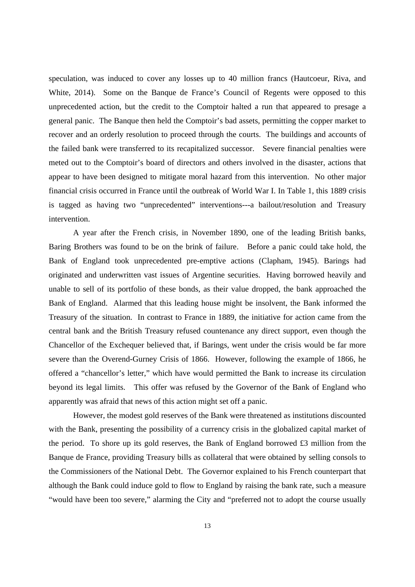speculation, was induced to cover any losses up to 40 million francs (Hautcoeur, Riva, and White, 2014). Some on the Banque de France's Council of Regents were opposed to this unprecedented action, but the credit to the Comptoir halted a run that appeared to presage a general panic. The Banque then held the Comptoir's bad assets, permitting the copper market to recover and an orderly resolution to proceed through the courts. The buildings and accounts of the failed bank were transferred to its recapitalized successor. Severe financial penalties were meted out to the Comptoir's board of directors and others involved in the disaster, actions that appear to have been designed to mitigate moral hazard from this intervention. No other major financial crisis occurred in France until the outbreak of World War I. In Table 1, this 1889 crisis is tagged as having two "unprecedented" interventions---a bailout/resolution and Treasury intervention.

A year after the French crisis, in November 1890, one of the leading British banks, Baring Brothers was found to be on the brink of failure. Before a panic could take hold, the Bank of England took unprecedented pre-emptive actions (Clapham, 1945). Barings had originated and underwritten vast issues of Argentine securities. Having borrowed heavily and unable to sell of its portfolio of these bonds, as their value dropped, the bank approached the Bank of England. Alarmed that this leading house might be insolvent, the Bank informed the Treasury of the situation. In contrast to France in 1889, the initiative for action came from the central bank and the British Treasury refused countenance any direct support, even though the Chancellor of the Exchequer believed that, if Barings, went under the crisis would be far more severe than the Overend-Gurney Crisis of 1866. However, following the example of 1866, he offered a "chancellor's letter," which have would permitted the Bank to increase its circulation beyond its legal limits. This offer was refused by the Governor of the Bank of England who apparently was afraid that news of this action might set off a panic.

However, the modest gold reserves of the Bank were threatened as institutions discounted with the Bank, presenting the possibility of a currency crisis in the globalized capital market of the period. To shore up its gold reserves, the Bank of England borrowed £3 million from the Banque de France, providing Treasury bills as collateral that were obtained by selling consols to the Commissioners of the National Debt. The Governor explained to his French counterpart that although the Bank could induce gold to flow to England by raising the bank rate, such a measure "would have been too severe," alarming the City and "preferred not to adopt the course usually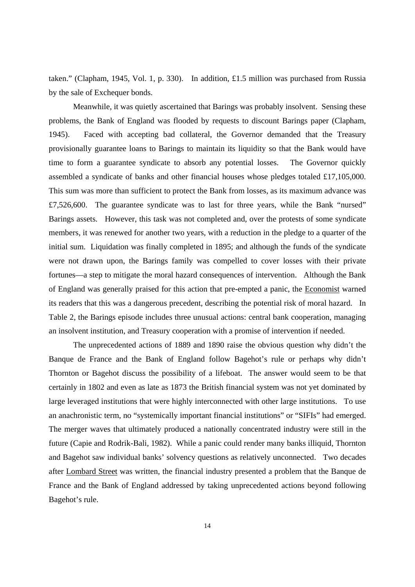taken." (Clapham, 1945, Vol. 1, p. 330). In addition, £1.5 million was purchased from Russia by the sale of Exchequer bonds.

Meanwhile, it was quietly ascertained that Barings was probably insolvent. Sensing these problems, the Bank of England was flooded by requests to discount Barings paper (Clapham, 1945). Faced with accepting bad collateral, the Governor demanded that the Treasury provisionally guarantee loans to Barings to maintain its liquidity so that the Bank would have time to form a guarantee syndicate to absorb any potential losses. The Governor quickly assembled a syndicate of banks and other financial houses whose pledges totaled £17,105,000. This sum was more than sufficient to protect the Bank from losses, as its maximum advance was £7,526,600. The guarantee syndicate was to last for three years, while the Bank "nursed" Barings assets. However, this task was not completed and, over the protests of some syndicate members, it was renewed for another two years, with a reduction in the pledge to a quarter of the initial sum. Liquidation was finally completed in 1895; and although the funds of the syndicate were not drawn upon, the Barings family was compelled to cover losses with their private fortunes—a step to mitigate the moral hazard consequences of intervention. Although the Bank of England was generally praised for this action that pre-empted a panic, the Economist warned its readers that this was a dangerous precedent, describing the potential risk of moral hazard. In Table 2, the Barings episode includes three unusual actions: central bank cooperation, managing an insolvent institution, and Treasury cooperation with a promise of intervention if needed.

The unprecedented actions of 1889 and 1890 raise the obvious question why didn't the Banque de France and the Bank of England follow Bagehot's rule or perhaps why didn't Thornton or Bagehot discuss the possibility of a lifeboat. The answer would seem to be that certainly in 1802 and even as late as 1873 the British financial system was not yet dominated by large leveraged institutions that were highly interconnected with other large institutions. To use an anachronistic term, no "systemically important financial institutions" or "SIFIs" had emerged. The merger waves that ultimately produced a nationally concentrated industry were still in the future (Capie and Rodrik-Bali, 1982). While a panic could render many banks illiquid, Thornton and Bagehot saw individual banks' solvency questions as relatively unconnected. Two decades after Lombard Street was written, the financial industry presented a problem that the Banque de France and the Bank of England addressed by taking unprecedented actions beyond following Bagehot's rule.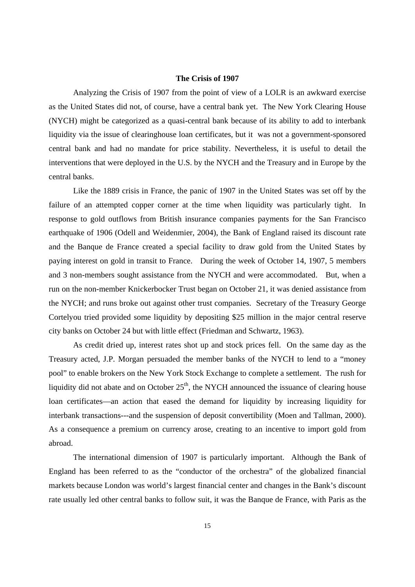#### **The Crisis of 1907**

Analyzing the Crisis of 1907 from the point of view of a LOLR is an awkward exercise as the United States did not, of course, have a central bank yet. The New York Clearing House (NYCH) might be categorized as a quasi-central bank because of its ability to add to interbank liquidity via the issue of clearinghouse loan certificates, but it was not a government-sponsored central bank and had no mandate for price stability. Nevertheless, it is useful to detail the interventions that were deployed in the U.S. by the NYCH and the Treasury and in Europe by the central banks.

 Like the 1889 crisis in France, the panic of 1907 in the United States was set off by the failure of an attempted copper corner at the time when liquidity was particularly tight. In response to gold outflows from British insurance companies payments for the San Francisco earthquake of 1906 (Odell and Weidenmier, 2004), the Bank of England raised its discount rate and the Banque de France created a special facility to draw gold from the United States by paying interest on gold in transit to France. During the week of October 14, 1907, 5 members and 3 non-members sought assistance from the NYCH and were accommodated. But, when a run on the non-member Knickerbocker Trust began on October 21, it was denied assistance from the NYCH; and runs broke out against other trust companies. Secretary of the Treasury George Cortelyou tried provided some liquidity by depositing \$25 million in the major central reserve city banks on October 24 but with little effect (Friedman and Schwartz, 1963).

As credit dried up, interest rates shot up and stock prices fell. On the same day as the Treasury acted, J.P. Morgan persuaded the member banks of the NYCH to lend to a "money pool" to enable brokers on the New York Stock Exchange to complete a settlement. The rush for liquidity did not abate and on October  $25<sup>th</sup>$ , the NYCH announced the issuance of clearing house loan certificates—an action that eased the demand for liquidity by increasing liquidity for interbank transactions---and the suspension of deposit convertibility (Moen and Tallman, 2000). As a consequence a premium on currency arose, creating to an incentive to import gold from abroad.

 The international dimension of 1907 is particularly important. Although the Bank of England has been referred to as the "conductor of the orchestra" of the globalized financial markets because London was world's largest financial center and changes in the Bank's discount rate usually led other central banks to follow suit, it was the Banque de France, with Paris as the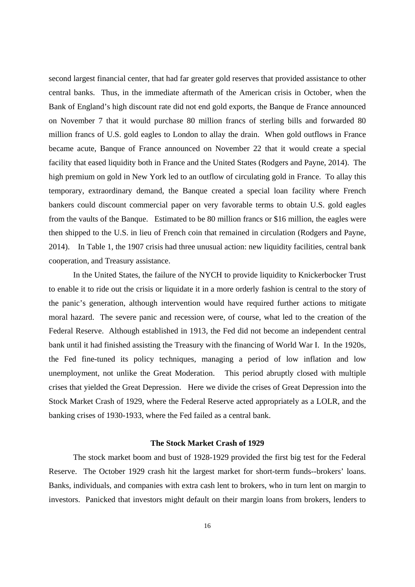second largest financial center, that had far greater gold reserves that provided assistance to other central banks. Thus, in the immediate aftermath of the American crisis in October, when the Bank of England's high discount rate did not end gold exports, the Banque de France announced on November 7 that it would purchase 80 million francs of sterling bills and forwarded 80 million francs of U.S. gold eagles to London to allay the drain. When gold outflows in France became acute, Banque of France announced on November 22 that it would create a special facility that eased liquidity both in France and the United States (Rodgers and Payne, 2014). The high premium on gold in New York led to an outflow of circulating gold in France. To allay this temporary, extraordinary demand, the Banque created a special loan facility where French bankers could discount commercial paper on very favorable terms to obtain U.S. gold eagles from the vaults of the Banque. Estimated to be 80 million francs or \$16 million, the eagles were then shipped to the U.S. in lieu of French coin that remained in circulation (Rodgers and Payne, 2014). In Table 1, the 1907 crisis had three unusual action: new liquidity facilities, central bank cooperation, and Treasury assistance.

 In the United States, the failure of the NYCH to provide liquidity to Knickerbocker Trust to enable it to ride out the crisis or liquidate it in a more orderly fashion is central to the story of the panic's generation, although intervention would have required further actions to mitigate moral hazard. The severe panic and recession were, of course, what led to the creation of the Federal Reserve. Although established in 1913, the Fed did not become an independent central bank until it had finished assisting the Treasury with the financing of World War I. In the 1920s, the Fed fine-tuned its policy techniques, managing a period of low inflation and low unemployment, not unlike the Great Moderation. This period abruptly closed with multiple crises that yielded the Great Depression. Here we divide the crises of Great Depression into the Stock Market Crash of 1929, where the Federal Reserve acted appropriately as a LOLR, and the banking crises of 1930-1933, where the Fed failed as a central bank.

## **The Stock Market Crash of 1929**

The stock market boom and bust of 1928-1929 provided the first big test for the Federal Reserve. The October 1929 crash hit the largest market for short-term funds--brokers' loans. Banks, individuals, and companies with extra cash lent to brokers, who in turn lent on margin to investors. Panicked that investors might default on their margin loans from brokers, lenders to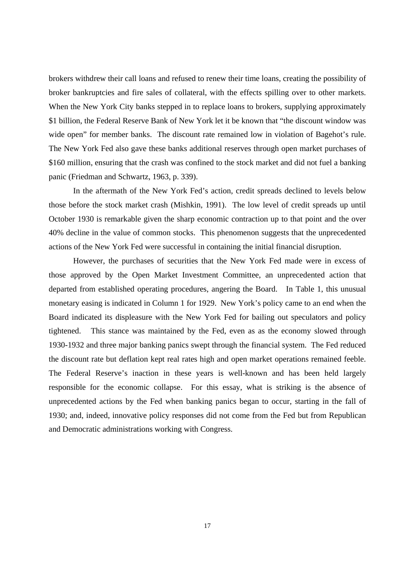brokers withdrew their call loans and refused to renew their time loans, creating the possibility of broker bankruptcies and fire sales of collateral, with the effects spilling over to other markets. When the New York City banks stepped in to replace loans to brokers, supplying approximately \$1 billion, the Federal Reserve Bank of New York let it be known that "the discount window was wide open" for member banks. The discount rate remained low in violation of Bagehot's rule. The New York Fed also gave these banks additional reserves through open market purchases of \$160 million, ensuring that the crash was confined to the stock market and did not fuel a banking panic (Friedman and Schwartz, 1963, p. 339).

In the aftermath of the New York Fed's action, credit spreads declined to levels below those before the stock market crash (Mishkin, 1991). The low level of credit spreads up until October 1930 is remarkable given the sharp economic contraction up to that point and the over 40% decline in the value of common stocks. This phenomenon suggests that the unprecedented actions of the New York Fed were successful in containing the initial financial disruption.

However, the purchases of securities that the New York Fed made were in excess of those approved by the Open Market Investment Committee, an unprecedented action that departed from established operating procedures, angering the Board. In Table 1, this unusual monetary easing is indicated in Column 1 for 1929. New York's policy came to an end when the Board indicated its displeasure with the New York Fed for bailing out speculators and policy tightened. This stance was maintained by the Fed, even as as the economy slowed through 1930-1932 and three major banking panics swept through the financial system. The Fed reduced the discount rate but deflation kept real rates high and open market operations remained feeble. The Federal Reserve's inaction in these years is well-known and has been held largely responsible for the economic collapse. For this essay, what is striking is the absence of unprecedented actions by the Fed when banking panics began to occur, starting in the fall of 1930; and, indeed, innovative policy responses did not come from the Fed but from Republican and Democratic administrations working with Congress.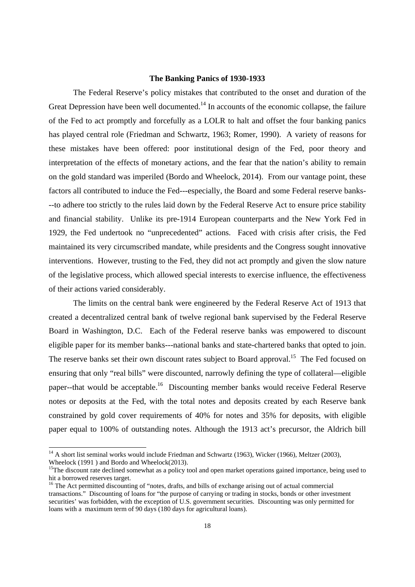## **The Banking Panics of 1930-1933**

The Federal Reserve's policy mistakes that contributed to the onset and duration of the Great Depression have been well documented.<sup>14</sup> In accounts of the economic collapse, the failure of the Fed to act promptly and forcefully as a LOLR to halt and offset the four banking panics has played central role (Friedman and Schwartz, 1963; Romer, 1990). A variety of reasons for these mistakes have been offered: poor institutional design of the Fed, poor theory and interpretation of the effects of monetary actions, and the fear that the nation's ability to remain on the gold standard was imperiled (Bordo and Wheelock, 2014). From our vantage point, these factors all contributed to induce the Fed---especially, the Board and some Federal reserve banks- --to adhere too strictly to the rules laid down by the Federal Reserve Act to ensure price stability and financial stability. Unlike its pre-1914 European counterparts and the New York Fed in 1929, the Fed undertook no "unprecedented" actions. Faced with crisis after crisis, the Fed maintained its very circumscribed mandate, while presidents and the Congress sought innovative interventions. However, trusting to the Fed, they did not act promptly and given the slow nature of the legislative process, which allowed special interests to exercise influence, the effectiveness of their actions varied considerably.

 The limits on the central bank were engineered by the Federal Reserve Act of 1913 that created a decentralized central bank of twelve regional bank supervised by the Federal Reserve Board in Washington, D.C. Each of the Federal reserve banks was empowered to discount eligible paper for its member banks---national banks and state-chartered banks that opted to join. The reserve banks set their own discount rates subject to Board approval.<sup>15</sup> The Fed focused on ensuring that only "real bills" were discounted, narrowly defining the type of collateral—eligible paper--that would be acceptable.<sup>16</sup> Discounting member banks would receive Federal Reserve notes or deposits at the Fed, with the total notes and deposits created by each Reserve bank constrained by gold cover requirements of 40% for notes and 35% for deposits, with eligible paper equal to 100% of outstanding notes. Although the 1913 act's precursor, the Aldrich bill

<sup>&</sup>lt;sup>14</sup> A short list seminal works would include Friedman and Schwartz (1963), Wicker (1966), Meltzer (2003), Wheelock (1991 ) and Bordo and Wheelock(2013).

<sup>&</sup>lt;sup>15</sup>The discount rate declined somewhat as a policy tool and open market operations gained importance, being used to hit a borrowed reserves target.

<sup>&</sup>lt;sup>16</sup> The Act permitted discounting of "notes, drafts, and bills of exchange arising out of actual commercial transactions." Discounting of loans for "the purpose of carrying or trading in stocks, bonds or other investment securities' was forbidden, with the exception of U.S. government securities. Discounting was only permitted for loans with a maximum term of 90 days (180 days for agricultural loans).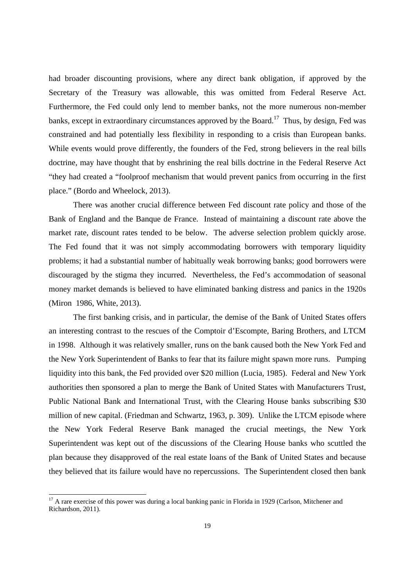had broader discounting provisions, where any direct bank obligation, if approved by the Secretary of the Treasury was allowable, this was omitted from Federal Reserve Act. Furthermore, the Fed could only lend to member banks, not the more numerous non-member banks, except in extraordinary circumstances approved by the Board.<sup>17</sup> Thus, by design, Fed was constrained and had potentially less flexibility in responding to a crisis than European banks. While events would prove differently, the founders of the Fed, strong believers in the real bills doctrine, may have thought that by enshrining the real bills doctrine in the Federal Reserve Act "they had created a "foolproof mechanism that would prevent panics from occurring in the first place." (Bordo and Wheelock, 2013).

There was another crucial difference between Fed discount rate policy and those of the Bank of England and the Banque de France. Instead of maintaining a discount rate above the market rate, discount rates tended to be below. The adverse selection problem quickly arose. The Fed found that it was not simply accommodating borrowers with temporary liquidity problems; it had a substantial number of habitually weak borrowing banks; good borrowers were discouraged by the stigma they incurred. Nevertheless, the Fed's accommodation of seasonal money market demands is believed to have eliminated banking distress and panics in the 1920s (Miron 1986, White, 2013).

The first banking crisis, and in particular, the demise of the Bank of United States offers an interesting contrast to the rescues of the Comptoir d'Escompte, Baring Brothers, and LTCM in 1998. Although it was relatively smaller, runs on the bank caused both the New York Fed and the New York Superintendent of Banks to fear that its failure might spawn more runs. Pumping liquidity into this bank, the Fed provided over \$20 million (Lucia, 1985). Federal and New York authorities then sponsored a plan to merge the Bank of United States with Manufacturers Trust, Public National Bank and International Trust, with the Clearing House banks subscribing \$30 million of new capital. (Friedman and Schwartz, 1963, p. 309). Unlike the LTCM episode where the New York Federal Reserve Bank managed the crucial meetings, the New York Superintendent was kept out of the discussions of the Clearing House banks who scuttled the plan because they disapproved of the real estate loans of the Bank of United States and because they believed that its failure would have no repercussions. The Superintendent closed then bank

<sup>&</sup>lt;sup>17</sup> A rare exercise of this power was during a local banking panic in Florida in 1929 (Carlson, Mitchener and Richardson, 2011).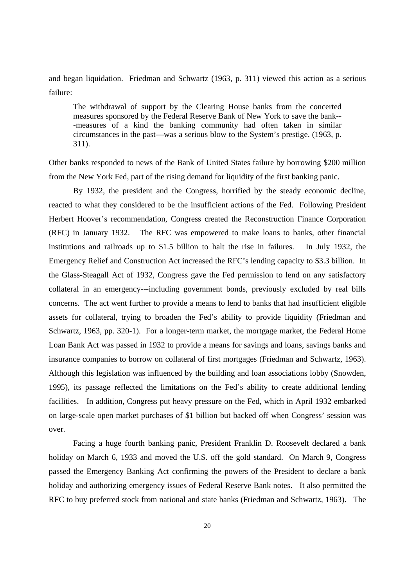and began liquidation. Friedman and Schwartz (1963, p. 311) viewed this action as a serious failure:

The withdrawal of support by the Clearing House banks from the concerted measures sponsored by the Federal Reserve Bank of New York to save the bank-- -measures of a kind the banking community had often taken in similar circumstances in the past—was a serious blow to the System's prestige. (1963, p. 311).

Other banks responded to news of the Bank of United States failure by borrowing \$200 million from the New York Fed, part of the rising demand for liquidity of the first banking panic.

 By 1932, the president and the Congress, horrified by the steady economic decline, reacted to what they considered to be the insufficient actions of the Fed. Following President Herbert Hoover's recommendation, Congress created the Reconstruction Finance Corporation (RFC) in January 1932. The RFC was empowered to make loans to banks, other financial institutions and railroads up to \$1.5 billion to halt the rise in failures. In July 1932, the Emergency Relief and Construction Act increased the RFC's lending capacity to \$3.3 billion. In the Glass-Steagall Act of 1932, Congress gave the Fed permission to lend on any satisfactory collateral in an emergency---including government bonds, previously excluded by real bills concerns. The act went further to provide a means to lend to banks that had insufficient eligible assets for collateral, trying to broaden the Fed's ability to provide liquidity (Friedman and Schwartz, 1963, pp. 320-1). For a longer-term market, the mortgage market, the Federal Home Loan Bank Act was passed in 1932 to provide a means for savings and loans, savings banks and insurance companies to borrow on collateral of first mortgages (Friedman and Schwartz, 1963). Although this legislation was influenced by the building and loan associations lobby (Snowden, 1995), its passage reflected the limitations on the Fed's ability to create additional lending facilities. In addition, Congress put heavy pressure on the Fed, which in April 1932 embarked on large-scale open market purchases of \$1 billion but backed off when Congress' session was over.

 Facing a huge fourth banking panic, President Franklin D. Roosevelt declared a bank holiday on March 6, 1933 and moved the U.S. off the gold standard. On March 9, Congress passed the Emergency Banking Act confirming the powers of the President to declare a bank holiday and authorizing emergency issues of Federal Reserve Bank notes. It also permitted the RFC to buy preferred stock from national and state banks (Friedman and Schwartz, 1963). The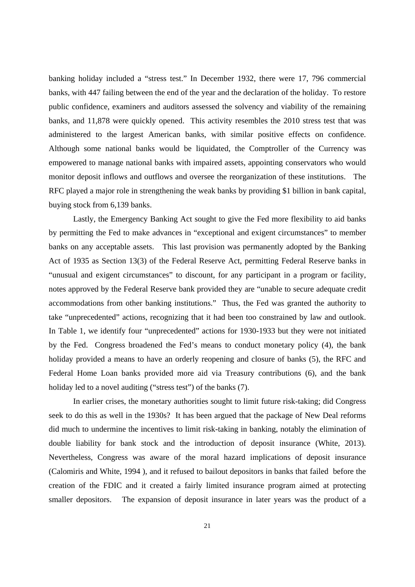banking holiday included a "stress test." In December 1932, there were 17, 796 commercial banks, with 447 failing between the end of the year and the declaration of the holiday. To restore public confidence, examiners and auditors assessed the solvency and viability of the remaining banks, and 11,878 were quickly opened. This activity resembles the 2010 stress test that was administered to the largest American banks, with similar positive effects on confidence. Although some national banks would be liquidated, the Comptroller of the Currency was empowered to manage national banks with impaired assets, appointing conservators who would monitor deposit inflows and outflows and oversee the reorganization of these institutions. The RFC played a major role in strengthening the weak banks by providing \$1 billion in bank capital, buying stock from 6,139 banks.

Lastly, the Emergency Banking Act sought to give the Fed more flexibility to aid banks by permitting the Fed to make advances in "exceptional and exigent circumstances" to member banks on any acceptable assets. This last provision was permanently adopted by the Banking Act of 1935 as Section 13(3) of the Federal Reserve Act, permitting Federal Reserve banks in "unusual and exigent circumstances" to discount, for any participant in a program or facility, notes approved by the Federal Reserve bank provided they are "unable to secure adequate credit accommodations from other banking institutions." Thus, the Fed was granted the authority to take "unprecedented" actions, recognizing that it had been too constrained by law and outlook. In Table 1, we identify four "unprecedented" actions for 1930-1933 but they were not initiated by the Fed. Congress broadened the Fed's means to conduct monetary policy (4), the bank holiday provided a means to have an orderly reopening and closure of banks (5), the RFC and Federal Home Loan banks provided more aid via Treasury contributions (6), and the bank holiday led to a novel auditing ("stress test") of the banks (7).

In earlier crises, the monetary authorities sought to limit future risk-taking; did Congress seek to do this as well in the 1930s? It has been argued that the package of New Deal reforms did much to undermine the incentives to limit risk-taking in banking, notably the elimination of double liability for bank stock and the introduction of deposit insurance (White, 2013). Nevertheless, Congress was aware of the moral hazard implications of deposit insurance (Calomiris and White, 1994 ), and it refused to bailout depositors in banks that failed before the creation of the FDIC and it created a fairly limited insurance program aimed at protecting smaller depositors. The expansion of deposit insurance in later years was the product of a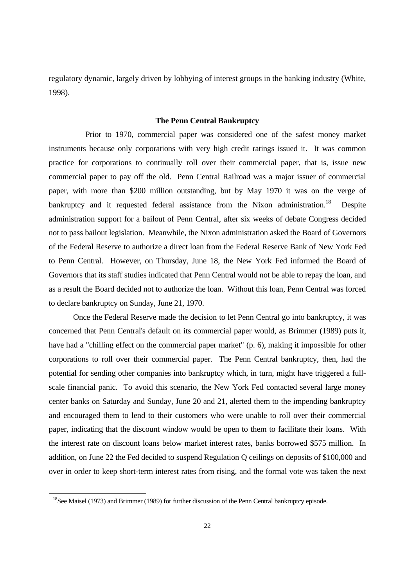regulatory dynamic, largely driven by lobbying of interest groups in the banking industry (White, 1998).

#### **The Penn Central Bankruptcy**

 Prior to 1970, commercial paper was considered one of the safest money market instruments because only corporations with very high credit ratings issued it. It was common practice for corporations to continually roll over their commercial paper, that is, issue new commercial paper to pay off the old. Penn Central Railroad was a major issuer of commercial paper, with more than \$200 million outstanding, but by May 1970 it was on the verge of bankruptcy and it requested federal assistance from the Nixon administration.<sup>18</sup> Despite administration support for a bailout of Penn Central, after six weeks of debate Congress decided not to pass bailout legislation. Meanwhile, the Nixon administration asked the Board of Governors of the Federal Reserve to authorize a direct loan from the Federal Reserve Bank of New York Fed to Penn Central. However, on Thursday, June 18, the New York Fed informed the Board of Governors that its staff studies indicated that Penn Central would not be able to repay the loan, and as a result the Board decided not to authorize the loan. Without this loan, Penn Central was forced to declare bankruptcy on Sunday, June 21, 1970.

 Once the Federal Reserve made the decision to let Penn Central go into bankruptcy, it was concerned that Penn Central's default on its commercial paper would, as Brimmer (1989) puts it, have had a "chilling effect on the commercial paper market" (p. 6), making it impossible for other corporations to roll over their commercial paper. The Penn Central bankruptcy, then, had the potential for sending other companies into bankruptcy which, in turn, might have triggered a fullscale financial panic. To avoid this scenario, the New York Fed contacted several large money center banks on Saturday and Sunday, June 20 and 21, alerted them to the impending bankruptcy and encouraged them to lend to their customers who were unable to roll over their commercial paper, indicating that the discount window would be open to them to facilitate their loans. With the interest rate on discount loans below market interest rates, banks borrowed \$575 million. In addition, on June 22 the Fed decided to suspend Regulation Q ceilings on deposits of \$100,000 and over in order to keep short-term interest rates from rising, and the formal vote was taken the next

 $\overline{a}$ 

<sup>&</sup>lt;sup>18</sup>See Maisel (1973) and Brimmer (1989) for further discussion of the Penn Central bankruptcy episode.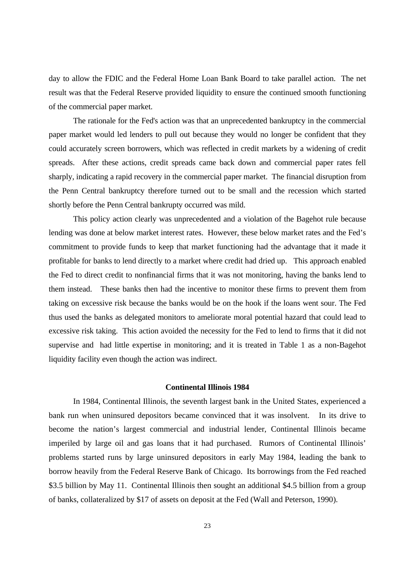day to allow the FDIC and the Federal Home Loan Bank Board to take parallel action. The net result was that the Federal Reserve provided liquidity to ensure the continued smooth functioning of the commercial paper market.

 The rationale for the Fed's action was that an unprecedented bankruptcy in the commercial paper market would led lenders to pull out because they would no longer be confident that they could accurately screen borrowers, which was reflected in credit markets by a widening of credit spreads. After these actions, credit spreads came back down and commercial paper rates fell sharply, indicating a rapid recovery in the commercial paper market. The financial disruption from the Penn Central bankruptcy therefore turned out to be small and the recession which started shortly before the Penn Central bankrupty occurred was mild.

 This policy action clearly was unprecedented and a violation of the Bagehot rule because lending was done at below market interest rates. However, these below market rates and the Fed's commitment to provide funds to keep that market functioning had the advantage that it made it profitable for banks to lend directly to a market where credit had dried up. This approach enabled the Fed to direct credit to nonfinancial firms that it was not monitoring, having the banks lend to them instead. These banks then had the incentive to monitor these firms to prevent them from taking on excessive risk because the banks would be on the hook if the loans went sour. The Fed thus used the banks as delegated monitors to ameliorate moral potential hazard that could lead to excessive risk taking. This action avoided the necessity for the Fed to lend to firms that it did not supervise and had little expertise in monitoring; and it is treated in Table 1 as a non-Bagehot liquidity facility even though the action was indirect.

#### **Continental Illinois 1984**

In 1984, Continental Illinois, the seventh largest bank in the United States, experienced a bank run when uninsured depositors became convinced that it was insolvent. In its drive to become the nation's largest commercial and industrial lender, Continental Illinois became imperiled by large oil and gas loans that it had purchased. Rumors of Continental Illinois' problems started runs by large uninsured depositors in early May 1984, leading the bank to borrow heavily from the Federal Reserve Bank of Chicago. Its borrowings from the Fed reached \$3.5 billion by May 11. Continental Illinois then sought an additional \$4.5 billion from a group of banks, collateralized by \$17 of assets on deposit at the Fed (Wall and Peterson, 1990).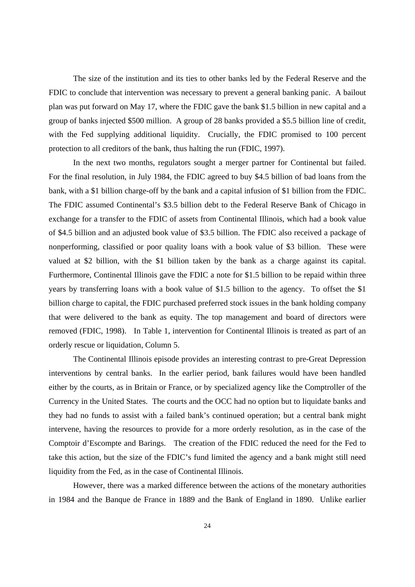The size of the institution and its ties to other banks led by the Federal Reserve and the FDIC to conclude that intervention was necessary to prevent a general banking panic. A bailout plan was put forward on May 17, where the FDIC gave the bank \$1.5 billion in new capital and a group of banks injected \$500 million. A group of 28 banks provided a \$5.5 billion line of credit, with the Fed supplying additional liquidity. Crucially, the FDIC promised to 100 percent protection to all creditors of the bank, thus halting the run (FDIC, 1997).

In the next two months, regulators sought a merger partner for Continental but failed. For the final resolution, in July 1984, the FDIC agreed to buy \$4.5 billion of bad loans from the bank, with a \$1 billion charge-off by the bank and a capital infusion of \$1 billion from the FDIC. The FDIC assumed Continental's \$3.5 billion debt to the Federal Reserve Bank of Chicago in exchange for a transfer to the FDIC of assets from Continental Illinois, which had a book value of \$4.5 billion and an adjusted book value of \$3.5 billion. The FDIC also received a package of nonperforming, classified or poor quality loans with a book value of \$3 billion. These were valued at \$2 billion, with the \$1 billion taken by the bank as a charge against its capital. Furthermore, Continental Illinois gave the FDIC a note for \$1.5 billion to be repaid within three years by transferring loans with a book value of \$1.5 billion to the agency. To offset the \$1 billion charge to capital, the FDIC purchased preferred stock issues in the bank holding company that were delivered to the bank as equity. The top management and board of directors were removed (FDIC, 1998). In Table 1, intervention for Continental Illinois is treated as part of an orderly rescue or liquidation, Column 5.

The Continental Illinois episode provides an interesting contrast to pre-Great Depression interventions by central banks. In the earlier period, bank failures would have been handled either by the courts, as in Britain or France, or by specialized agency like the Comptroller of the Currency in the United States. The courts and the OCC had no option but to liquidate banks and they had no funds to assist with a failed bank's continued operation; but a central bank might intervene, having the resources to provide for a more orderly resolution, as in the case of the Comptoir d'Escompte and Barings. The creation of the FDIC reduced the need for the Fed to take this action, but the size of the FDIC's fund limited the agency and a bank might still need liquidity from the Fed, as in the case of Continental Illinois.

However, there was a marked difference between the actions of the monetary authorities in 1984 and the Banque de France in 1889 and the Bank of England in 1890. Unlike earlier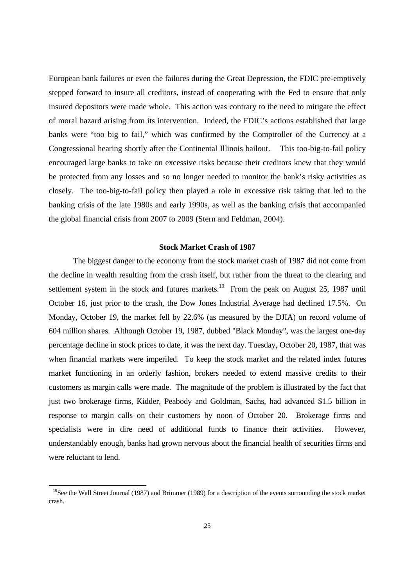European bank failures or even the failures during the Great Depression, the FDIC pre-emptively stepped forward to insure all creditors, instead of cooperating with the Fed to ensure that only insured depositors were made whole. This action was contrary to the need to mitigate the effect of moral hazard arising from its intervention. Indeed, the FDIC's actions established that large banks were "too big to fail," which was confirmed by the Comptroller of the Currency at a Congressional hearing shortly after the Continental Illinois bailout. This too-big-to-fail policy encouraged large banks to take on excessive risks because their creditors knew that they would be protected from any losses and so no longer needed to monitor the bank's risky activities as closely. The too-big-to-fail policy then played a role in excessive risk taking that led to the banking crisis of the late 1980s and early 1990s, as well as the banking crisis that accompanied the global financial crisis from 2007 to 2009 (Stern and Feldman, 2004).

#### **Stock Market Crash of 1987**

 The biggest danger to the economy from the stock market crash of 1987 did not come from the decline in wealth resulting from the crash itself, but rather from the threat to the clearing and settlement system in the stock and futures markets.<sup>19</sup> From the peak on August 25, 1987 until October 16, just prior to the crash, the Dow Jones Industrial Average had declined 17.5%. On Monday, October 19, the market fell by 22.6% (as measured by the DJIA) on record volume of 604 million shares. Although October 19, 1987, dubbed "Black Monday", was the largest one-day percentage decline in stock prices to date, it was the next day. Tuesday, October 20, 1987, that was when financial markets were imperiled. To keep the stock market and the related index futures market functioning in an orderly fashion, brokers needed to extend massive credits to their customers as margin calls were made. The magnitude of the problem is illustrated by the fact that just two brokerage firms, Kidder, Peabody and Goldman, Sachs, had advanced \$1.5 billion in response to margin calls on their customers by noon of October 20. Brokerage firms and specialists were in dire need of additional funds to finance their activities. However, understandably enough, banks had grown nervous about the financial health of securities firms and were reluctant to lend.

 $\overline{a}$ 

<sup>&</sup>lt;sup>19</sup>See the Wall Street Journal (1987) and Brimmer (1989) for a description of the events surrounding the stock market crash.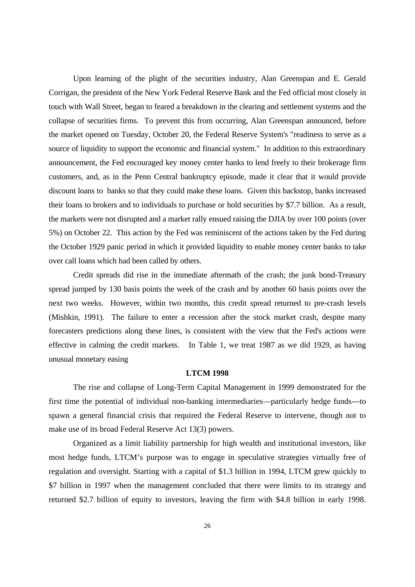Upon learning of the plight of the securities industry, Alan Greenspan and E. Gerald Corrigan, the president of the New York Federal Reserve Bank and the Fed official most closely in touch with Wall Street, began to feared a breakdown in the clearing and settlement systems and the collapse of securities firms. To prevent this from occurring, Alan Greenspan announced, before the market opened on Tuesday, October 20, the Federal Reserve System's "readiness to serve as a source of liquidity to support the economic and financial system." In addition to this extraordinary announcement, the Fed encouraged key money center banks to lend freely to their brokerage firm customers, and, as in the Penn Central bankruptcy episode, made it clear that it would provide discount loans to banks so that they could make these loans. Given this backstop, banks increased their loans to brokers and to individuals to purchase or hold securities by \$7.7 billion. As a result, the markets were not disrupted and a market rally ensued raising the DJIA by over 100 points (over 5%) on October 22. This action by the Fed was reminiscent of the actions taken by the Fed during the October 1929 panic period in which it provided liquidity to enable money center banks to take over call loans which had been called by others.

 Credit spreads did rise in the immediate aftermath of the crash; the junk bond-Treasury spread jumped by 130 basis points the week of the crash and by another 60 basis points over the next two weeks. However, within two months, this credit spread returned to pre-crash levels (Mishkin, 1991). The failure to enter a recession after the stock market crash, despite many forecasters predictions along these lines, is consistent with the view that the Fed's actions were effective in calming the credit markets. In Table 1, we treat 1987 as we did 1929, as having unusual monetary easing

## **LTCM 1998**

 The rise and collapse of Long-Term Capital Management in 1999 demonstrated for the first time the potential of individual non-banking intermediaries—particularly hedge funds---to spawn a general financial crisis that required the Federal Reserve to intervene, though not to make use of its broad Federal Reserve Act 13(3) powers.

Organized as a limit liability partnership for high wealth and institutional investors, like most hedge funds, LTCM's purpose was to engage in speculative strategies virtually free of regulation and oversight. Starting with a capital of \$1.3 billion in 1994, LTCM grew quickly to \$7 billion in 1997 when the management concluded that there were limits to its strategy and returned \$2.7 billion of equity to investors, leaving the firm with \$4.8 billion in early 1998.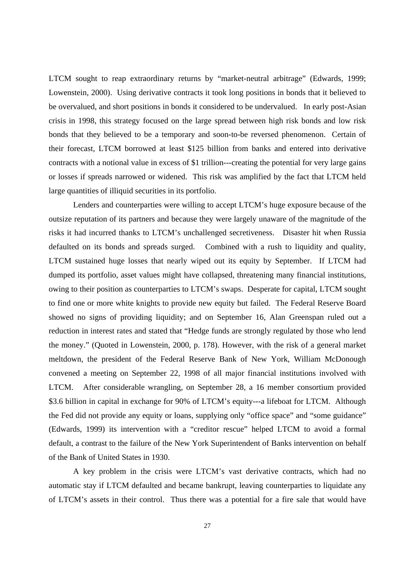LTCM sought to reap extraordinary returns by "market-neutral arbitrage" (Edwards, 1999; Lowenstein, 2000). Using derivative contracts it took long positions in bonds that it believed to be overvalued, and short positions in bonds it considered to be undervalued. In early post-Asian crisis in 1998, this strategy focused on the large spread between high risk bonds and low risk bonds that they believed to be a temporary and soon-to-be reversed phenomenon. Certain of their forecast, LTCM borrowed at least \$125 billion from banks and entered into derivative contracts with a notional value in excess of \$1 trillion---creating the potential for very large gains or losses if spreads narrowed or widened. This risk was amplified by the fact that LTCM held large quantities of illiquid securities in its portfolio.

Lenders and counterparties were willing to accept LTCM's huge exposure because of the outsize reputation of its partners and because they were largely unaware of the magnitude of the risks it had incurred thanks to LTCM's unchallenged secretiveness. Disaster hit when Russia defaulted on its bonds and spreads surged. Combined with a rush to liquidity and quality, LTCM sustained huge losses that nearly wiped out its equity by September. If LTCM had dumped its portfolio, asset values might have collapsed, threatening many financial institutions, owing to their position as counterparties to LTCM's swaps. Desperate for capital, LTCM sought to find one or more white knights to provide new equity but failed. The Federal Reserve Board showed no signs of providing liquidity; and on September 16, Alan Greenspan ruled out a reduction in interest rates and stated that "Hedge funds are strongly regulated by those who lend the money." (Quoted in Lowenstein, 2000, p. 178). However, with the risk of a general market meltdown, the president of the Federal Reserve Bank of New York, William McDonough convened a meeting on September 22, 1998 of all major financial institutions involved with LTCM. After considerable wrangling, on September 28, a 16 member consortium provided \$3.6 billion in capital in exchange for 90% of LTCM's equity---a lifeboat for LTCM. Although the Fed did not provide any equity or loans, supplying only "office space" and "some guidance" (Edwards, 1999) its intervention with a "creditor rescue" helped LTCM to avoid a formal default, a contrast to the failure of the New York Superintendent of Banks intervention on behalf of the Bank of United States in 1930.

A key problem in the crisis were LTCM's vast derivative contracts, which had no automatic stay if LTCM defaulted and became bankrupt, leaving counterparties to liquidate any of LTCM's assets in their control. Thus there was a potential for a fire sale that would have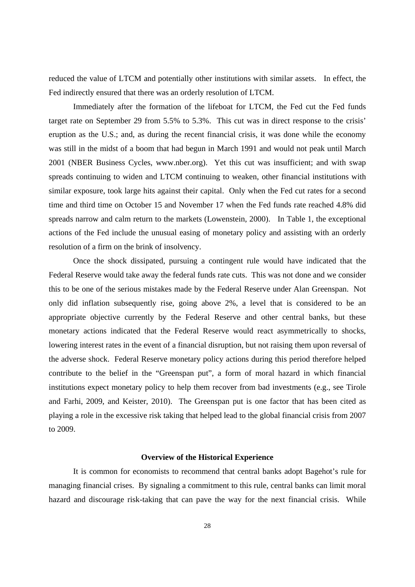reduced the value of LTCM and potentially other institutions with similar assets. In effect, the Fed indirectly ensured that there was an orderly resolution of LTCM.

Immediately after the formation of the lifeboat for LTCM, the Fed cut the Fed funds target rate on September 29 from 5.5% to 5.3%. This cut was in direct response to the crisis' eruption as the U.S.; and, as during the recent financial crisis, it was done while the economy was still in the midst of a boom that had begun in March 1991 and would not peak until March 2001 (NBER Business Cycles, www.nber.org). Yet this cut was insufficient; and with swap spreads continuing to widen and LTCM continuing to weaken, other financial institutions with similar exposure, took large hits against their capital. Only when the Fed cut rates for a second time and third time on October 15 and November 17 when the Fed funds rate reached 4.8% did spreads narrow and calm return to the markets (Lowenstein, 2000). In Table 1, the exceptional actions of the Fed include the unusual easing of monetary policy and assisting with an orderly resolution of a firm on the brink of insolvency.

Once the shock dissipated, pursuing a contingent rule would have indicated that the Federal Reserve would take away the federal funds rate cuts. This was not done and we consider this to be one of the serious mistakes made by the Federal Reserve under Alan Greenspan. Not only did inflation subsequently rise, going above 2%, a level that is considered to be an appropriate objective currently by the Federal Reserve and other central banks, but these monetary actions indicated that the Federal Reserve would react asymmetrically to shocks, lowering interest rates in the event of a financial disruption, but not raising them upon reversal of the adverse shock. Federal Reserve monetary policy actions during this period therefore helped contribute to the belief in the "Greenspan put", a form of moral hazard in which financial institutions expect monetary policy to help them recover from bad investments (e.g., see Tirole and Farhi, 2009, and Keister, 2010). The Greenspan put is one factor that has been cited as playing a role in the excessive risk taking that helped lead to the global financial crisis from 2007 to 2009.

#### **Overview of the Historical Experience**

It is common for economists to recommend that central banks adopt Bagehot's rule for managing financial crises. By signaling a commitment to this rule, central banks can limit moral hazard and discourage risk-taking that can pave the way for the next financial crisis. While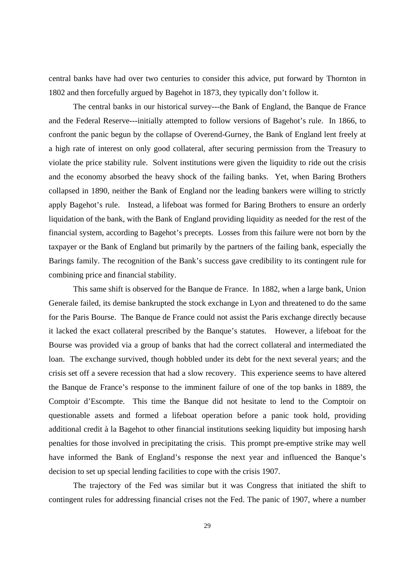central banks have had over two centuries to consider this advice, put forward by Thornton in 1802 and then forcefully argued by Bagehot in 1873, they typically don't follow it.

The central banks in our historical survey---the Bank of England, the Banque de France and the Federal Reserve---initially attempted to follow versions of Bagehot's rule. In 1866, to confront the panic begun by the collapse of Overend-Gurney, the Bank of England lent freely at a high rate of interest on only good collateral, after securing permission from the Treasury to violate the price stability rule. Solvent institutions were given the liquidity to ride out the crisis and the economy absorbed the heavy shock of the failing banks. Yet, when Baring Brothers collapsed in 1890, neither the Bank of England nor the leading bankers were willing to strictly apply Bagehot's rule. Instead, a lifeboat was formed for Baring Brothers to ensure an orderly liquidation of the bank, with the Bank of England providing liquidity as needed for the rest of the financial system, according to Bagehot's precepts. Losses from this failure were not born by the taxpayer or the Bank of England but primarily by the partners of the failing bank, especially the Barings family. The recognition of the Bank's success gave credibility to its contingent rule for combining price and financial stability.

This same shift is observed for the Banque de France. In 1882, when a large bank, Union Generale failed, its demise bankrupted the stock exchange in Lyon and threatened to do the same for the Paris Bourse. The Banque de France could not assist the Paris exchange directly because it lacked the exact collateral prescribed by the Banque's statutes. However, a lifeboat for the Bourse was provided via a group of banks that had the correct collateral and intermediated the loan. The exchange survived, though hobbled under its debt for the next several years; and the crisis set off a severe recession that had a slow recovery. This experience seems to have altered the Banque de France's response to the imminent failure of one of the top banks in 1889, the Comptoir d'Escompte. This time the Banque did not hesitate to lend to the Comptoir on questionable assets and formed a lifeboat operation before a panic took hold, providing additional credit à la Bagehot to other financial institutions seeking liquidity but imposing harsh penalties for those involved in precipitating the crisis. This prompt pre-emptive strike may well have informed the Bank of England's response the next year and influenced the Banque's decision to set up special lending facilities to cope with the crisis 1907.

 The trajectory of the Fed was similar but it was Congress that initiated the shift to contingent rules for addressing financial crises not the Fed. The panic of 1907, where a number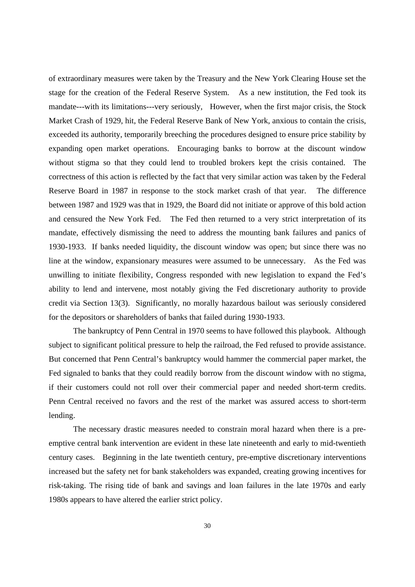of extraordinary measures were taken by the Treasury and the New York Clearing House set the stage for the creation of the Federal Reserve System. As a new institution, the Fed took its mandate---with its limitations---very seriously, However, when the first major crisis, the Stock Market Crash of 1929, hit, the Federal Reserve Bank of New York, anxious to contain the crisis, exceeded its authority, temporarily breeching the procedures designed to ensure price stability by expanding open market operations. Encouraging banks to borrow at the discount window without stigma so that they could lend to troubled brokers kept the crisis contained. The correctness of this action is reflected by the fact that very similar action was taken by the Federal Reserve Board in 1987 in response to the stock market crash of that year. The difference between 1987 and 1929 was that in 1929, the Board did not initiate or approve of this bold action and censured the New York Fed. The Fed then returned to a very strict interpretation of its mandate, effectively dismissing the need to address the mounting bank failures and panics of 1930-1933. If banks needed liquidity, the discount window was open; but since there was no line at the window, expansionary measures were assumed to be unnecessary. As the Fed was unwilling to initiate flexibility, Congress responded with new legislation to expand the Fed's ability to lend and intervene, most notably giving the Fed discretionary authority to provide credit via Section 13(3). Significantly, no morally hazardous bailout was seriously considered for the depositors or shareholders of banks that failed during 1930-1933.

The bankruptcy of Penn Central in 1970 seems to have followed this playbook. Although subject to significant political pressure to help the railroad, the Fed refused to provide assistance. But concerned that Penn Central's bankruptcy would hammer the commercial paper market, the Fed signaled to banks that they could readily borrow from the discount window with no stigma, if their customers could not roll over their commercial paper and needed short-term credits. Penn Central received no favors and the rest of the market was assured access to short-term lending.

 The necessary drastic measures needed to constrain moral hazard when there is a preemptive central bank intervention are evident in these late nineteenth and early to mid-twentieth century cases. Beginning in the late twentieth century, pre-emptive discretionary interventions increased but the safety net for bank stakeholders was expanded, creating growing incentives for risk-taking. The rising tide of bank and savings and loan failures in the late 1970s and early 1980s appears to have altered the earlier strict policy.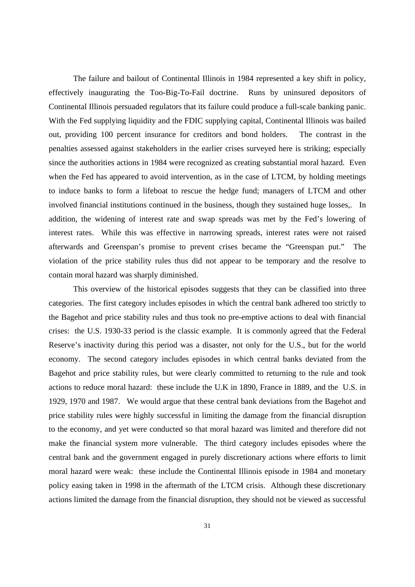The failure and bailout of Continental Illinois in 1984 represented a key shift in policy, effectively inaugurating the Too-Big-To-Fail doctrine. Runs by uninsured depositors of Continental Illinois persuaded regulators that its failure could produce a full-scale banking panic. With the Fed supplying liquidity and the FDIC supplying capital, Continental Illinois was bailed out, providing 100 percent insurance for creditors and bond holders. The contrast in the penalties assessed against stakeholders in the earlier crises surveyed here is striking; especially since the authorities actions in 1984 were recognized as creating substantial moral hazard. Even when the Fed has appeared to avoid intervention, as in the case of LTCM, by holding meetings to induce banks to form a lifeboat to rescue the hedge fund; managers of LTCM and other involved financial institutions continued in the business, though they sustained huge losses,. In addition, the widening of interest rate and swap spreads was met by the Fed's lowering of interest rates. While this was effective in narrowing spreads, interest rates were not raised afterwards and Greenspan's promise to prevent crises became the "Greenspan put." The violation of the price stability rules thus did not appear to be temporary and the resolve to contain moral hazard was sharply diminished.

This overview of the historical episodes suggests that they can be classified into three categories. The first category includes episodes in which the central bank adhered too strictly to the Bagehot and price stability rules and thus took no pre-emptive actions to deal with financial crises: the U.S. 1930-33 period is the classic example. It is commonly agreed that the Federal Reserve's inactivity during this period was a disaster, not only for the U.S., but for the world economy. The second category includes episodes in which central banks deviated from the Bagehot and price stability rules, but were clearly committed to returning to the rule and took actions to reduce moral hazard: these include the U.K in 1890, France in 1889, and the U.S. in 1929, 1970 and 1987. We would argue that these central bank deviations from the Bagehot and price stability rules were highly successful in limiting the damage from the financial disruption to the economy, and yet were conducted so that moral hazard was limited and therefore did not make the financial system more vulnerable. The third category includes episodes where the central bank and the government engaged in purely discretionary actions where efforts to limit moral hazard were weak: these include the Continental Illinois episode in 1984 and monetary policy easing taken in 1998 in the aftermath of the LTCM crisis. Although these discretionary actions limited the damage from the financial disruption, they should not be viewed as successful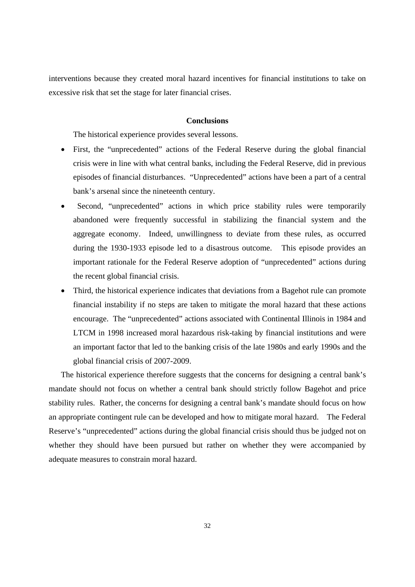interventions because they created moral hazard incentives for financial institutions to take on excessive risk that set the stage for later financial crises.

## **Conclusions**

The historical experience provides several lessons.

- First, the "unprecedented" actions of the Federal Reserve during the global financial crisis were in line with what central banks, including the Federal Reserve, did in previous episodes of financial disturbances. "Unprecedented" actions have been a part of a central bank's arsenal since the nineteenth century.
- Second, "unprecedented" actions in which price stability rules were temporarily abandoned were frequently successful in stabilizing the financial system and the aggregate economy. Indeed, unwillingness to deviate from these rules, as occurred during the 1930-1933 episode led to a disastrous outcome. This episode provides an important rationale for the Federal Reserve adoption of "unprecedented" actions during the recent global financial crisis.
- Third, the historical experience indicates that deviations from a Bagehot rule can promote financial instability if no steps are taken to mitigate the moral hazard that these actions encourage. The "unprecedented" actions associated with Continental Illinois in 1984 and LTCM in 1998 increased moral hazardous risk-taking by financial institutions and were an important factor that led to the banking crisis of the late 1980s and early 1990s and the global financial crisis of 2007-2009.

The historical experience therefore suggests that the concerns for designing a central bank's mandate should not focus on whether a central bank should strictly follow Bagehot and price stability rules. Rather, the concerns for designing a central bank's mandate should focus on how an appropriate contingent rule can be developed and how to mitigate moral hazard.The Federal Reserve's "unprecedented" actions during the global financial crisis should thus be judged not on whether they should have been pursued but rather on whether they were accompanied by adequate measures to constrain moral hazard.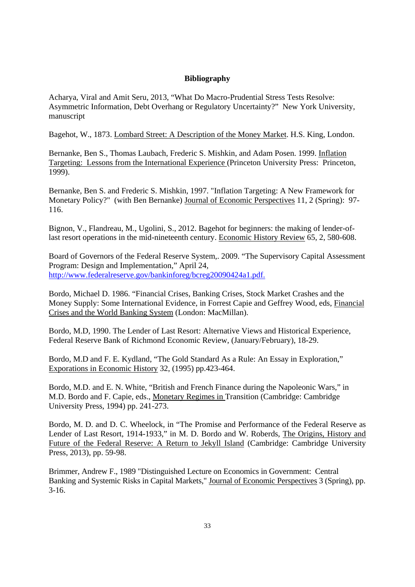## **Bibliography**

Acharya, Viral and Amit Seru, 2013, "What Do Macro-Prudential Stress Tests Resolve: Asymmetric Information, Debt Overhang or Regulatory Uncertainty?" New York University, manuscript

Bagehot, W., 1873. Lombard Street: A Description of the Money Market. H.S. King, London.

Bernanke, Ben S., Thomas Laubach, Frederic S. Mishkin, and Adam Posen. 1999. Inflation Targeting: Lessons from the International Experience (Princeton University Press: Princeton, 1999).

Bernanke, Ben S. and Frederic S. Mishkin, 1997. "Inflation Targeting: A New Framework for Monetary Policy?" (with Ben Bernanke) Journal of Economic Perspectives 11, 2 (Spring): 97- 116.

Bignon, V., Flandreau, M., Ugolini, S., 2012. Bagehot for beginners: the making of lender-oflast resort operations in the mid-nineteenth century. Economic History Review 65, 2, 580-608.

Board of Governors of the Federal Reserve System,. 2009. "The Supervisory Capital Assessment Program: Design and Implementation," April 24, http://www.federalreserve.gov/bankinforeg/bcreg20090424a1.pdf.

Bordo, Michael D. 1986. "Financial Crises, Banking Crises, Stock Market Crashes and the Money Supply: Some International Evidence, in Forrest Capie and Geffrey Wood, eds, Financial Crises and the World Banking System (London: MacMillan).

Bordo, M.D, 1990. The Lender of Last Resort: Alternative Views and Historical Experience, Federal Reserve Bank of Richmond Economic Review, (January/February), 18-29.

Bordo, M.D and F. E. Kydland, "The Gold Standard As a Rule: An Essay in Exploration," Exporations in Economic History 32, (1995) pp.423-464.

Bordo, M.D. and E. N. White, "British and French Finance during the Napoleonic Wars," in M.D. Bordo and F. Capie, eds., Monetary Regimes in Transition (Cambridge: Cambridge University Press, 1994) pp. 241-273.

Bordo, M. D. and D. C. Wheelock, in "The Promise and Performance of the Federal Reserve as Lender of Last Resort, 1914-1933," in M. D. Bordo and W. Roberds, The Origins, History and Future of the Federal Reserve: A Return to Jekyll Island (Cambridge: Cambridge University Press, 2013), pp. 59-98.

Brimmer, Andrew F., 1989 "Distinguished Lecture on Economics in Government: Central Banking and Systemic Risks in Capital Markets," Journal of Economic Perspectives 3 (Spring), pp. 3-16.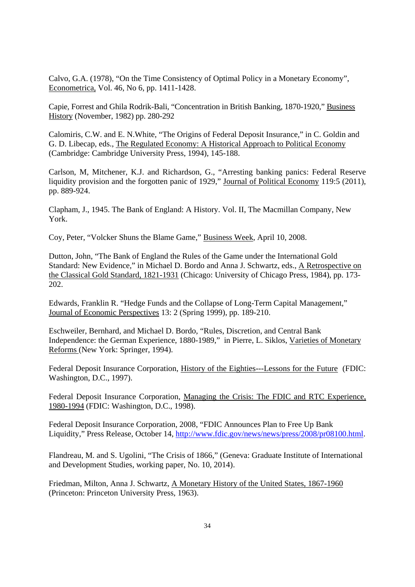Calvo, G.A. (1978), "On the Time Consistency of Optimal Policy in a Monetary Economy", Econometrica, Vol. 46, No 6, pp. 1411-1428.

Capie, Forrest and Ghila Rodrik-Bali, "Concentration in British Banking, 1870-1920," Business History (November, 1982) pp. 280-292

Calomiris, C.W. and E. N.White, "The Origins of Federal Deposit Insurance," in C. Goldin and G. D. Libecap, eds., The Regulated Economy: A Historical Approach to Political Economy (Cambridge: Cambridge University Press, 1994), 145-188.

Carlson, M, Mitchener, K.J. and Richardson, G., "Arresting banking panics: Federal Reserve liquidity provision and the forgotten panic of 1929," Journal of Political Economy 119:5 (2011), pp. 889-924.

Clapham, J., 1945. The Bank of England: A History. Vol. II, The Macmillan Company, New York.

Coy, Peter, "Volcker Shuns the Blame Game," Business Week*,* April 10, 2008.

Dutton, John, "The Bank of England the Rules of the Game under the International Gold Standard: New Evidence," in Michael D. Bordo and Anna J. Schwartz, eds., A Retrospective on the Classical Gold Standard, 1821-1931 (Chicago: University of Chicago Press, 1984), pp. 173- 202.

Edwards, Franklin R. "Hedge Funds and the Collapse of Long-Term Capital Management," Journal of Economic Perspectives 13: 2 (Spring 1999), pp. 189-210.

Eschweiler, Bernhard, and Michael D. Bordo, "Rules, Discretion, and Central Bank Independence: the German Experience, 1880-1989," in Pierre, L. Siklos, Varieties of Monetary Reforms (New York: Springer, 1994).

Federal Deposit Insurance Corporation, History of the Eighties---Lessons for the Future (FDIC: Washington, D.C., 1997).

Federal Deposit Insurance Corporation, Managing the Crisis: The FDIC and RTC Experience, 1980-1994 (FDIC: Washington, D.C., 1998).

Federal Deposit Insurance Corporation, 2008, "FDIC Announces Plan to Free Up Bank Liquidity," Press Release, October 14, http://www.fdic.gov/news/news/press/2008/pr08100.html.

Flandreau, M. and S. Ugolini, "The Crisis of 1866," (Geneva: Graduate Institute of International and Development Studies, working paper, No. 10, 2014).

Friedman, Milton, Anna J. Schwartz, A Monetary History of the United States, 1867-1960 (Princeton: Princeton University Press, 1963).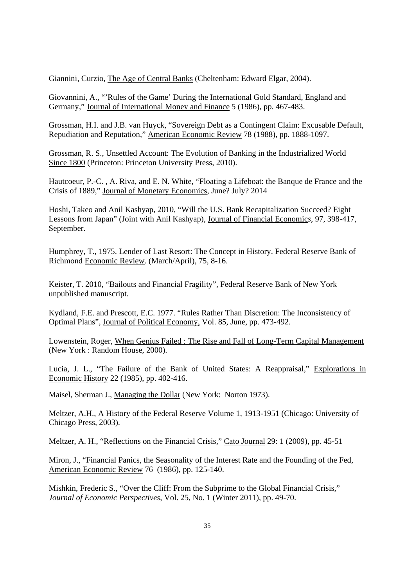Giannini, Curzio, The Age of Central Banks (Cheltenham: Edward Elgar, 2004).

Giovannini, A., "'Rules of the Game' During the International Gold Standard, England and Germany," Journal of International Money and Finance 5 (1986), pp. 467-483.

Grossman, H.I. and J.B. van Huyck, "Sovereign Debt as a Contingent Claim: Excusable Default, Repudiation and Reputation," American Economic Review 78 (1988), pp. 1888-1097.

Grossman, R. S., Unsettled Account: The Evolution of Banking in the Industrialized World Since 1800 (Princeton: Princeton University Press, 2010).

Hautcoeur, P.-C. , A. Riva, and E. N. White, "Floating a Lifeboat: the Banque de France and the Crisis of 1889," Journal of Monetary Economics, June? July? 2014

Hoshi, Takeo and Anil Kashyap, 2010, "Will the U.S. Bank Recapitalization Succeed? Eight Lessons from Japan" (Joint with Anil Kashyap), Journal of Financial Economic*s*, 97, 398-417, September.

Humphrey, T., 1975. Lender of Last Resort: The Concept in History. Federal Reserve Bank of Richmond Economic Review. (March/April), 75, 8-16.

Keister, T. 2010, "Bailouts and Financial Fragility", Federal Reserve Bank of New York unpublished manuscript.

Kydland, F.E. and Prescott, E.C. 1977. "Rules Rather Than Discretion: The Inconsistency of Optimal Plans", Journal of Political Economy, Vol. 85, June, pp. 473-492.

Lowenstein, Roger, When Genius Failed : The Rise and Fall of Long-Term Capital Management (New York : Random House, 2000).

Lucia, J. L., "The Failure of the Bank of United States: A Reappraisal," Explorations in Economic History 22 (1985), pp. 402-416.

Maisel, Sherman J., Managing the Dollar (New York: Norton 1973).

Meltzer, A.H., A History of the Federal Reserve Volume 1, 1913-1951 (Chicago: University of Chicago Press, 2003).

Meltzer, A. H., "Reflections on the Financial Crisis," Cato Journal 29: 1 (2009), pp. 45-51

Miron, J., "Financial Panics, the Seasonality of the Interest Rate and the Founding of the Fed, American Economic Review 76 (1986), pp. 125-140.

Mishkin, Frederic S., "Over the Cliff: From the Subprime to the Global Financial Crisis," *Journal of Economic Perspectives*, Vol. 25, No. 1 (Winter 2011), pp. 49-70.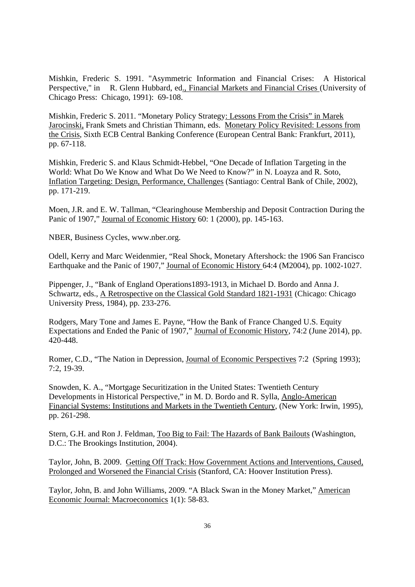Mishkin, Frederic S. 1991. "Asymmetric Information and Financial Crises: A Historical Perspective," in R. Glenn Hubbard, ed., Financial Markets and Financial Crises (University of Chicago Press: Chicago, 1991): 69-108.

Mishkin, Frederic S. 2011. "Monetary Policy Strategy: Lessons From the Crisis" in Marek Jarocinski, Frank Smets and Christian Thimann, eds. Monetary Policy Revisited: Lessons from the Crisis, Sixth ECB Central Banking Conference (European Central Bank: Frankfurt, 2011), pp. 67-118.

Mishkin, Frederic S. and Klaus Schmidt-Hebbel, "One Decade of Inflation Targeting in the World: What Do We Know and What Do We Need to Know?" in N. Loayza and R. Soto, Inflation Targeting: Design, Performance, Challenges (Santiago: Central Bank of Chile, 2002), pp. 171-219.

Moen, J.R. and E. W. Tallman, "Clearinghouse Membership and Deposit Contraction During the Panic of 1907," Journal of Economic History 60: 1 (2000), pp. 145-163.

NBER, Business Cycles, www.nber.org.

Odell, Kerry and Marc Weidenmier, "Real Shock, Monetary Aftershock: the 1906 San Francisco Earthquake and the Panic of 1907," Journal of Economic History 64:4 (M2004), pp. 1002-1027.

Pippenger, J., "Bank of England Operations1893-1913, in Michael D. Bordo and Anna J. Schwartz, eds., A Retrospective on the Classical Gold Standard 1821-1931 (Chicago: Chicago University Press, 1984), pp. 233-276.

Rodgers, Mary Tone and James E. Payne, "How the Bank of France Changed U.S. Equity Expectations and Ended the Panic of 1907," Journal of Economic History, 74:2 (June 2014), pp. 420-448.

Romer, C.D., "The Nation in Depression, Journal of Economic Perspectives 7:2 (Spring 1993); 7:2, 19-39.

Snowden, K. A., "Mortgage Securitization in the United States: Twentieth Century Developments in Historical Perspective," in M. D. Bordo and R. Sylla, Anglo-American Financial Systems: Institutions and Markets in the Twentieth Century, (New York: Irwin, 1995), pp. 261-298.

Stern, G.H. and Ron J. Feldman, Too Big to Fail: The Hazards of Bank Bailouts (Washington, D.C.: The Brookings Institution, 2004).

Taylor, John, B. 2009. Getting Off Track: How Government Actions and Interventions, Caused, Prolonged and Worsened the Financial Crisis (Stanford, CA: Hoover Institution Press).

Taylor, John, B. and John Williams, 2009. "A Black Swan in the Money Market," American Economic Journal: Macroeconomics 1(1): 58-83.